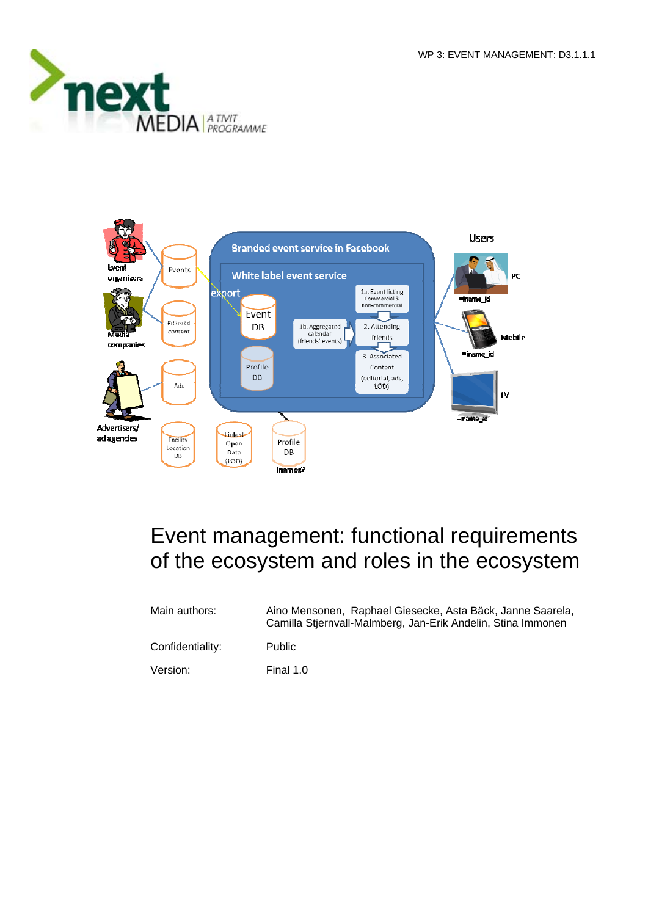



# Event management: functional requirements of the ecosystem and roles in the ecosystem

| Main authors:    | Aino Mensonen, Raphael Giesecke, Asta Bäck, Janne Saarela,<br>Camilla Stjernvall-Malmberg, Jan-Erik Andelin, Stina Immonen |
|------------------|----------------------------------------------------------------------------------------------------------------------------|
| Confidentiality: | <b>Public</b>                                                                                                              |
| Version:         | Final 1.0                                                                                                                  |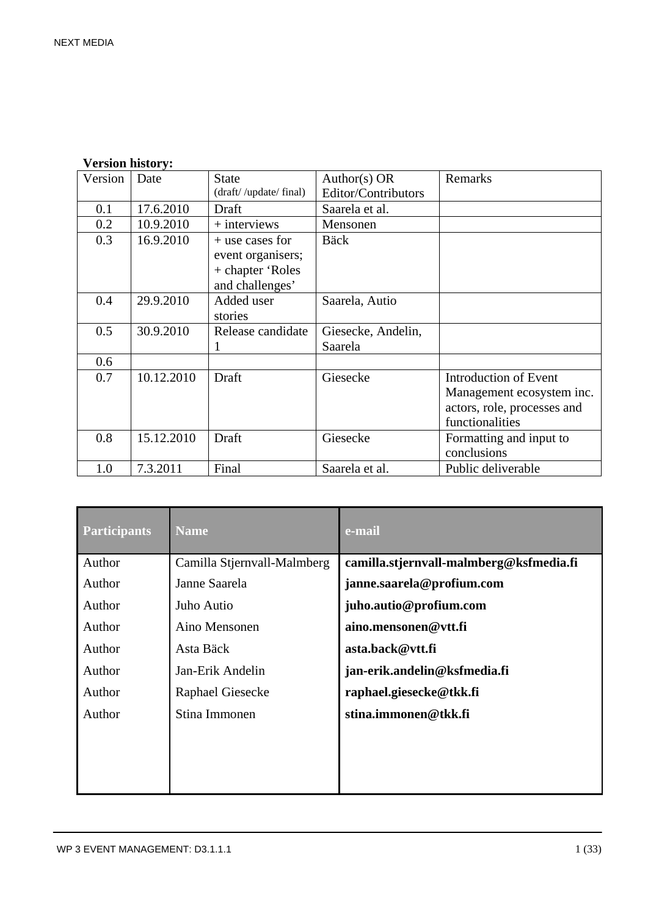| Version | Date       | <b>State</b>          | Author(s) $OR$      | Remarks                     |
|---------|------------|-----------------------|---------------------|-----------------------------|
|         |            | (draft//update/final) | Editor/Contributors |                             |
| 0.1     | 17.6.2010  | Draft                 | Saarela et al.      |                             |
| 0.2     | 10.9.2010  | $+$ interviews        | Mensonen            |                             |
| 0.3     | 16.9.2010  | $+$ use cases for     | <b>Bäck</b>         |                             |
|         |            | event organisers;     |                     |                             |
|         |            | + chapter 'Roles      |                     |                             |
|         |            | and challenges'       |                     |                             |
| 0.4     | 29.9.2010  | Added user            | Saarela, Autio      |                             |
|         |            | stories               |                     |                             |
| 0.5     | 30.9.2010  | Release candidate     | Giesecke, Andelin,  |                             |
|         |            |                       | Saarela             |                             |
| 0.6     |            |                       |                     |                             |
| 0.7     | 10.12.2010 | Draft                 | Giesecke            | Introduction of Event       |
|         |            |                       |                     | Management ecosystem inc.   |
|         |            |                       |                     | actors, role, processes and |
|         |            |                       |                     | functionalities             |
| 0.8     | 15.12.2010 | Draft                 | Giesecke            | Formatting and input to     |
|         |            |                       |                     | conclusions                 |
| 1.0     | 7.3.2011   | Final                 | Saarela et al.      | Public deliverable          |

| <b>Participants</b> | <b>Name</b>                 | e-mail                                  |
|---------------------|-----------------------------|-----------------------------------------|
| Author              | Camilla Stjernvall-Malmberg | camilla.stjernvall-malmberg@ksfmedia.fi |
| Author              | Janne Saarela               | janne.saarela@profium.com               |
| Author              | Juho Autio                  | juho.autio@profium.com                  |
| Author              | Aino Mensonen               | aino.mensonen@vtt.fi                    |
| Author              | Asta Bäck                   | asta.back@vtt.fi                        |
| Author              | Jan-Erik Andelin            | jan-erik.andelin@ksfmedia.fi            |
| Author              | Raphael Giesecke            | raphael.giesecke@tkk.fi                 |
| Author              | Stina Immonen               | stina.immonen@tkk.fi                    |
|                     |                             |                                         |
|                     |                             |                                         |
|                     |                             |                                         |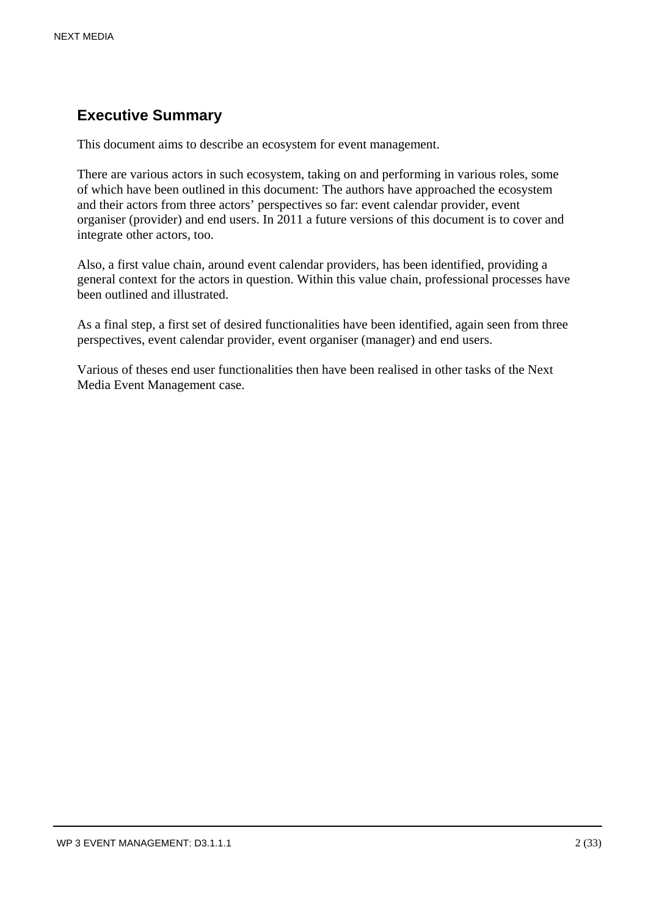# **Executive Summary**

This document aims to describe an ecosystem for event management.

There are various actors in such ecosystem, taking on and performing in various roles, some of which have been outlined in this document: The authors have approached the ecosystem and their actors from three actors' perspectives so far: event calendar provider, event organiser (provider) and end users. In 2011 a future versions of this document is to cover and integrate other actors, too.

Also, a first value chain, around event calendar providers, has been identified, providing a general context for the actors in question. Within this value chain, professional processes have been outlined and illustrated.

As a final step, a first set of desired functionalities have been identified, again seen from three perspectives, event calendar provider, event organiser (manager) and end users.

Various of theses end user functionalities then have been realised in other tasks of the Next Media Event Management case.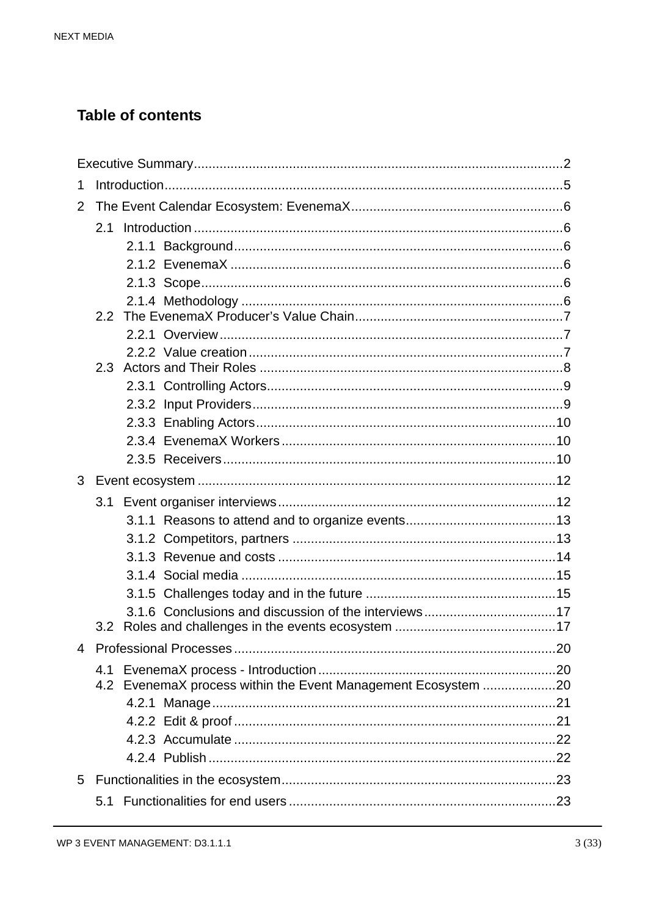# **Table of contents**

| 1 |     |                                                               |  |  |
|---|-----|---------------------------------------------------------------|--|--|
| 2 |     |                                                               |  |  |
|   | 2.1 |                                                               |  |  |
|   |     |                                                               |  |  |
|   |     |                                                               |  |  |
|   |     |                                                               |  |  |
|   |     |                                                               |  |  |
|   |     |                                                               |  |  |
|   |     |                                                               |  |  |
|   |     |                                                               |  |  |
|   |     |                                                               |  |  |
|   |     |                                                               |  |  |
|   |     |                                                               |  |  |
|   |     |                                                               |  |  |
|   |     |                                                               |  |  |
| 3 |     |                                                               |  |  |
|   | 3.1 |                                                               |  |  |
|   |     |                                                               |  |  |
|   |     |                                                               |  |  |
|   |     |                                                               |  |  |
|   |     |                                                               |  |  |
|   |     |                                                               |  |  |
|   |     |                                                               |  |  |
|   | 3.2 |                                                               |  |  |
| 4 |     |                                                               |  |  |
|   | 4.1 |                                                               |  |  |
|   |     | 4.2 EvenemaX process within the Event Management Ecosystem 20 |  |  |
|   |     |                                                               |  |  |
|   |     |                                                               |  |  |
|   |     |                                                               |  |  |
|   |     |                                                               |  |  |
| 5 |     |                                                               |  |  |
|   | 5.1 |                                                               |  |  |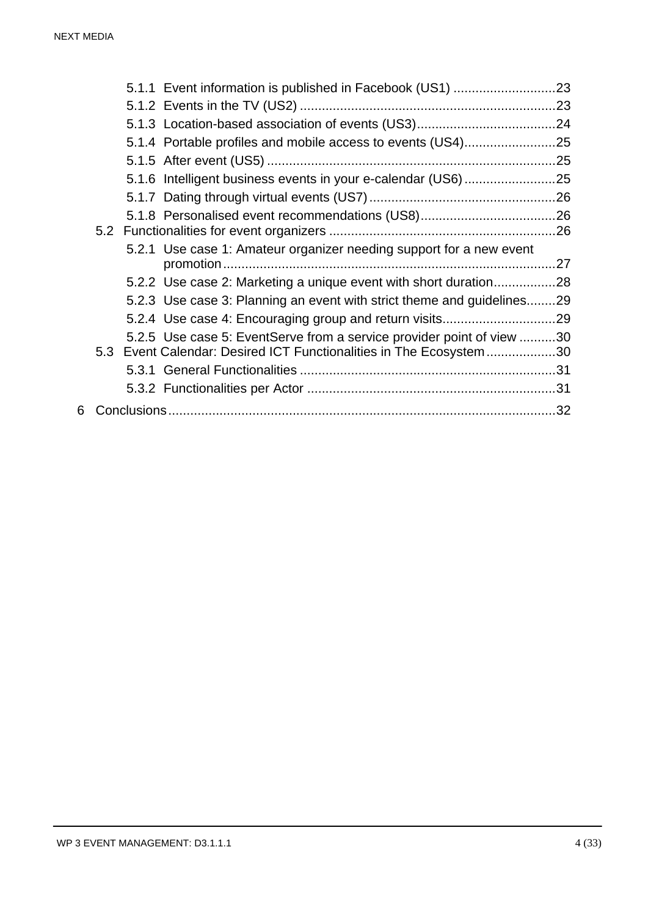|   |  | 5.2.1 Use case 1: Amateur organizer needing support for a new event                                                                         |  |
|---|--|---------------------------------------------------------------------------------------------------------------------------------------------|--|
|   |  | 5.2.2 Use case 2: Marketing a unique event with short duration28                                                                            |  |
|   |  | 5.2.3 Use case 3: Planning an event with strict theme and guidelines29                                                                      |  |
|   |  |                                                                                                                                             |  |
|   |  | 5.2.5 Use case 5: EventServe from a service provider point of view 30<br>5.3 Event Calendar: Desired ICT Functionalities in The Ecosystem30 |  |
|   |  |                                                                                                                                             |  |
|   |  |                                                                                                                                             |  |
| 6 |  |                                                                                                                                             |  |
|   |  |                                                                                                                                             |  |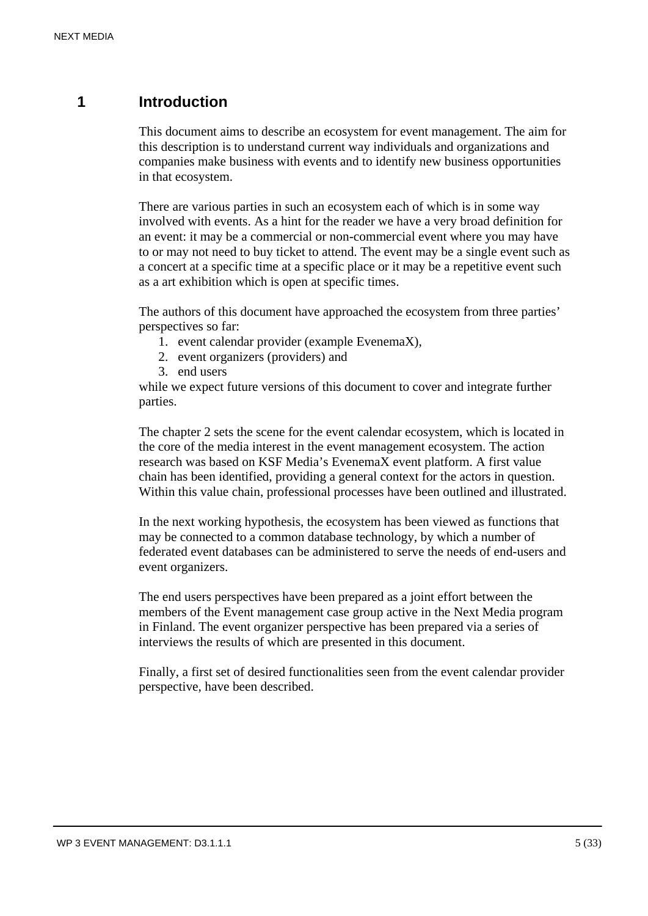# **1 Introduction**

This document aims to describe an ecosystem for event management. The aim for this description is to understand current way individuals and organizations and companies make business with events and to identify new business opportunities in that ecosystem.

There are various parties in such an ecosystem each of which is in some way involved with events. As a hint for the reader we have a very broad definition for an event: it may be a commercial or non-commercial event where you may have to or may not need to buy ticket to attend. The event may be a single event such as a concert at a specific time at a specific place or it may be a repetitive event such as a art exhibition which is open at specific times.

The authors of this document have approached the ecosystem from three parties' perspectives so far:

- 1. event calendar provider (example EvenemaX),
- 2. event organizers (providers) and
- 3. end users

while we expect future versions of this document to cover and integrate further parties.

The chapter 2 sets the scene for the event calendar ecosystem, which is located in the core of the media interest in the event management ecosystem. The action research was based on KSF Media's EvenemaX event platform. A first value chain has been identified, providing a general context for the actors in question. Within this value chain, professional processes have been outlined and illustrated.

In the next working hypothesis, the ecosystem has been viewed as functions that may be connected to a common database technology, by which a number of federated event databases can be administered to serve the needs of end-users and event organizers.

The end users perspectives have been prepared as a joint effort between the members of the Event management case group active in the Next Media program in Finland. The event organizer perspective has been prepared via a series of interviews the results of which are presented in this document.

Finally, a first set of desired functionalities seen from the event calendar provider perspective, have been described.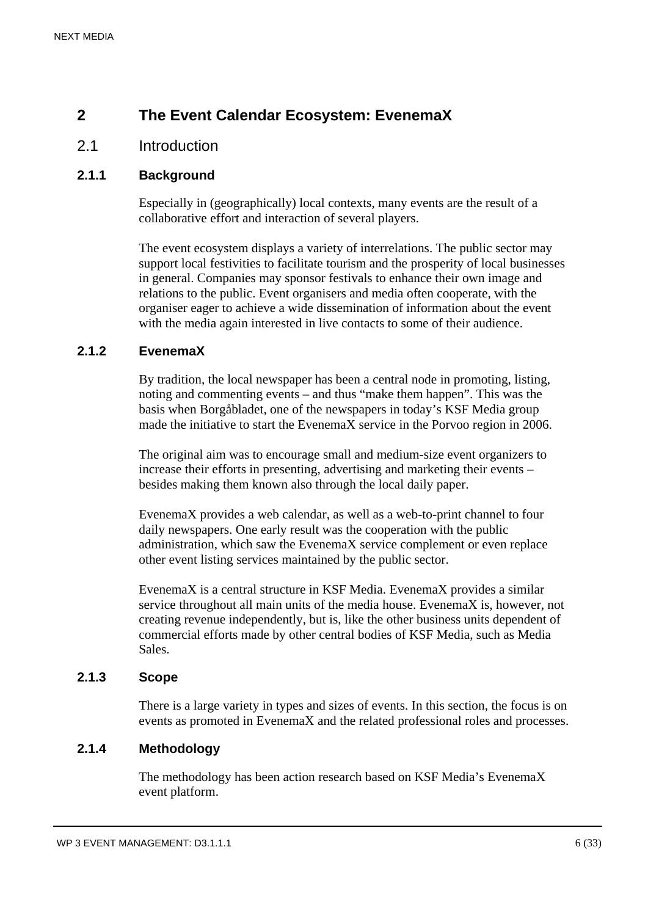# **2 The Event Calendar Ecosystem: EvenemaX**

# 2.1 Introduction

# **2.1.1 Background**

Especially in (geographically) local contexts, many events are the result of a collaborative effort and interaction of several players.

The event ecosystem displays a variety of interrelations. The public sector may support local festivities to facilitate tourism and the prosperity of local businesses in general. Companies may sponsor festivals to enhance their own image and relations to the public. Event organisers and media often cooperate, with the organiser eager to achieve a wide dissemination of information about the event with the media again interested in live contacts to some of their audience.

# **2.1.2 EvenemaX**

By tradition, the local newspaper has been a central node in promoting, listing, noting and commenting events – and thus "make them happen". This was the basis when Borgåbladet, one of the newspapers in today's KSF Media group made the initiative to start the EvenemaX service in the Porvoo region in 2006.

The original aim was to encourage small and medium-size event organizers to increase their efforts in presenting, advertising and marketing their events – besides making them known also through the local daily paper.

EvenemaX provides a web calendar, as well as a web-to-print channel to four daily newspapers. One early result was the cooperation with the public administration, which saw the EvenemaX service complement or even replace other event listing services maintained by the public sector.

EvenemaX is a central structure in KSF Media. EvenemaX provides a similar service throughout all main units of the media house. EvenemaX is, however, not creating revenue independently, but is, like the other business units dependent of commercial efforts made by other central bodies of KSF Media, such as Media Sales.

# **2.1.3 Scope**

There is a large variety in types and sizes of events. In this section, the focus is on events as promoted in EvenemaX and the related professional roles and processes.

# **2.1.4 Methodology**

The methodology has been action research based on KSF Media's EvenemaX event platform.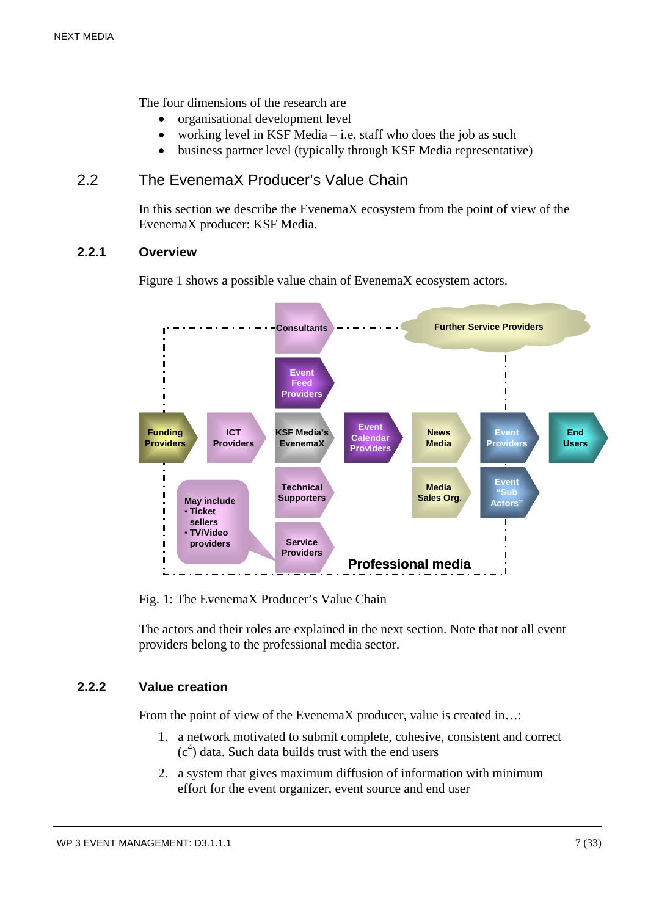The four dimensions of the research are

- organisational development level
- working level in KSF Media i.e. staff who does the job as such
- business partner level (typically through KSF Media representative)

# 2.2 The EvenemaX Producer's Value Chain

In this section we describe the EvenemaX ecosystem from the point of view of the EvenemaX producer: KSF Media.

#### **2.2.1 Overview**

Figure 1 shows a possible value chain of EvenemaX ecosystem actors.



Fig. 1: The EvenemaX Producer's Value Chain

The actors and their roles are explained in the next section. Note that not all event providers belong to the professional media sector.

# **2.2.2 Value creation**

From the point of view of the EvenemaX producer, value is created in...:

- 1. a network motivated to submit complete, cohesive, consistent and correct  $(c<sup>4</sup>)$  data. Such data builds trust with the end users
- 2. a system that gives maximum diffusion of information with minimum effort for the event organizer, event source and end user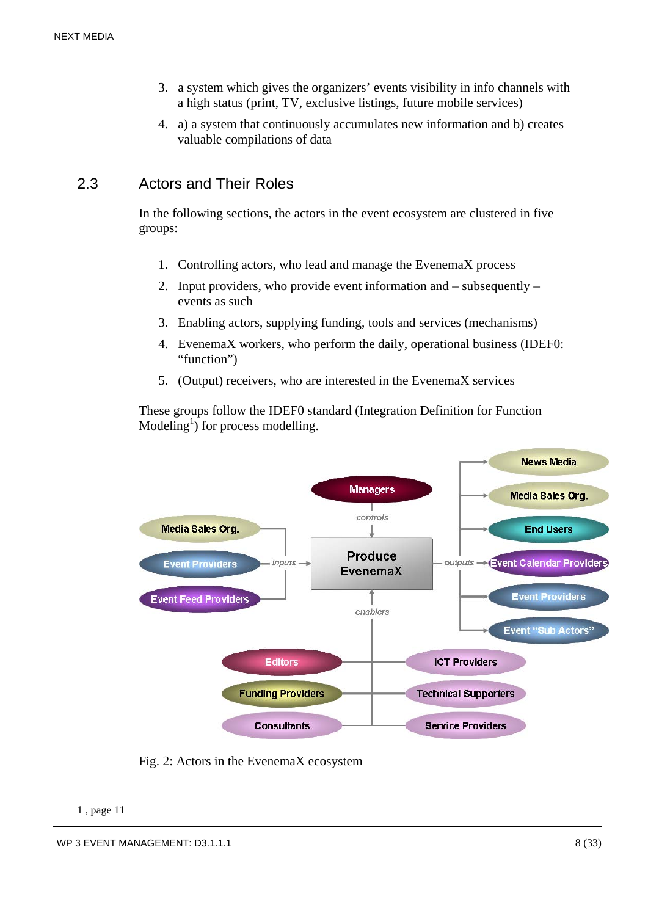- 3. a system which gives the organizers' events visibility in info channels with a high status (print, TV, exclusive listings, future mobile services)
- 4. a) a system that continuously accumulates new information and b) creates valuable compilations of data

# 2.3 Actors and Their Roles

In the following sections, the actors in the event ecosystem are clustered in five groups:

- 1. Controlling actors, who lead and manage the EvenemaX process
- 2. Input providers, who provide event information and subsequently events as such
- 3. Enabling actors, supplying funding, tools and services (mechanisms)
- 4. EvenemaX workers, who perform the daily, operational business (IDEF0: "function")
- 5. (Output) receivers, who are interested in the EvenemaX services

These groups follow the IDEF0 standard (Integration Definition for Function Modeling<sup>1</sup>) for process modelling.



Fig. 2: Actors in the EvenemaX ecosystem

<u>.</u>

<sup>1 ,</sup> page 11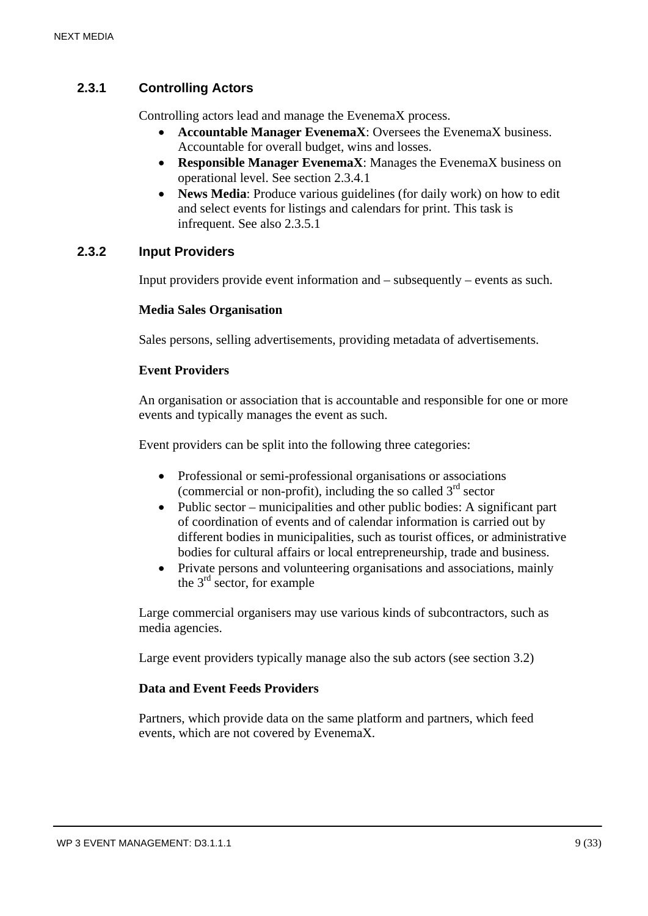# **2.3.1 Controlling Actors**

Controlling actors lead and manage the EvenemaX process.

- **Accountable Manager EvenemaX**: Oversees the EvenemaX business. Accountable for overall budget, wins and losses.
- **Responsible Manager EvenemaX**: Manages the EvenemaX business on operational level. See section 2.3.4.1
- **News Media:** Produce various guidelines (for daily work) on how to edit and select events for listings and calendars for print. This task is infrequent. See also 2.3.5.1

#### **2.3.2 Input Providers**

Input providers provide event information and – subsequently – events as such.

#### **Media Sales Organisation**

Sales persons, selling advertisements, providing metadata of advertisements.

#### **Event Providers**

An organisation or association that is accountable and responsible for one or more events and typically manages the event as such.

Event providers can be split into the following three categories:

- Professional or semi-professional organisations or associations (commercial or non-profit), including the so called  $3<sup>rd</sup>$  sector
- Public sector municipalities and other public bodies: A significant part of coordination of events and of calendar information is carried out by different bodies in municipalities, such as tourist offices, or administrative bodies for cultural affairs or local entrepreneurship, trade and business.
- Private persons and volunteering organisations and associations, mainly the  $3<sup>rd</sup>$  sector, for example

Large commercial organisers may use various kinds of subcontractors, such as media agencies.

Large event providers typically manage also the sub actors (see section 3.2)

#### **Data and Event Feeds Providers**

Partners, which provide data on the same platform and partners, which feed events, which are not covered by EvenemaX.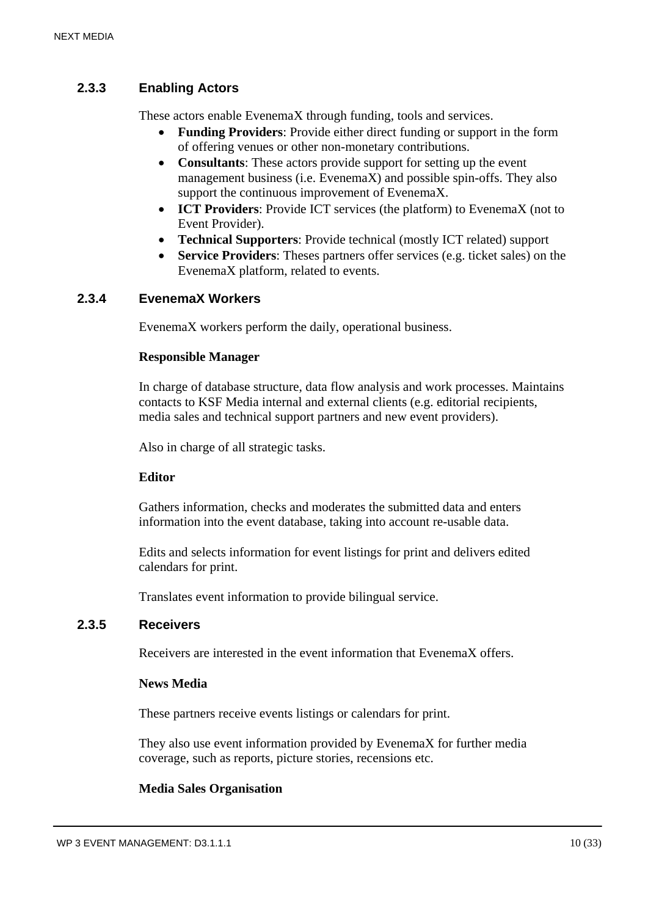# **2.3.3 Enabling Actors**

These actors enable EvenemaX through funding, tools and services.

- **Funding Providers**: Provide either direct funding or support in the form of offering venues or other non-monetary contributions.
- **Consultants**: These actors provide support for setting up the event management business (i.e. EvenemaX) and possible spin-offs. They also support the continuous improvement of EvenemaX.
- **ICT Providers**: Provide ICT services (the platform) to EvenemaX (not to Event Provider).
- **Technical Supporters**: Provide technical (mostly ICT related) support
- **Service Providers**: Theses partners offer services (e.g. ticket sales) on the EvenemaX platform, related to events.

#### **2.3.4 EvenemaX Workers**

EvenemaX workers perform the daily, operational business.

#### **Responsible Manager**

In charge of database structure, data flow analysis and work processes. Maintains contacts to KSF Media internal and external clients (e.g. editorial recipients, media sales and technical support partners and new event providers).

Also in charge of all strategic tasks.

#### **Editor**

Gathers information, checks and moderates the submitted data and enters information into the event database, taking into account re-usable data.

Edits and selects information for event listings for print and delivers edited calendars for print.

Translates event information to provide bilingual service.

#### **2.3.5 Receivers**

Receivers are interested in the event information that EvenemaX offers.

#### **News Media**

These partners receive events listings or calendars for print.

They also use event information provided by EvenemaX for further media coverage, such as reports, picture stories, recensions etc.

#### **Media Sales Organisation**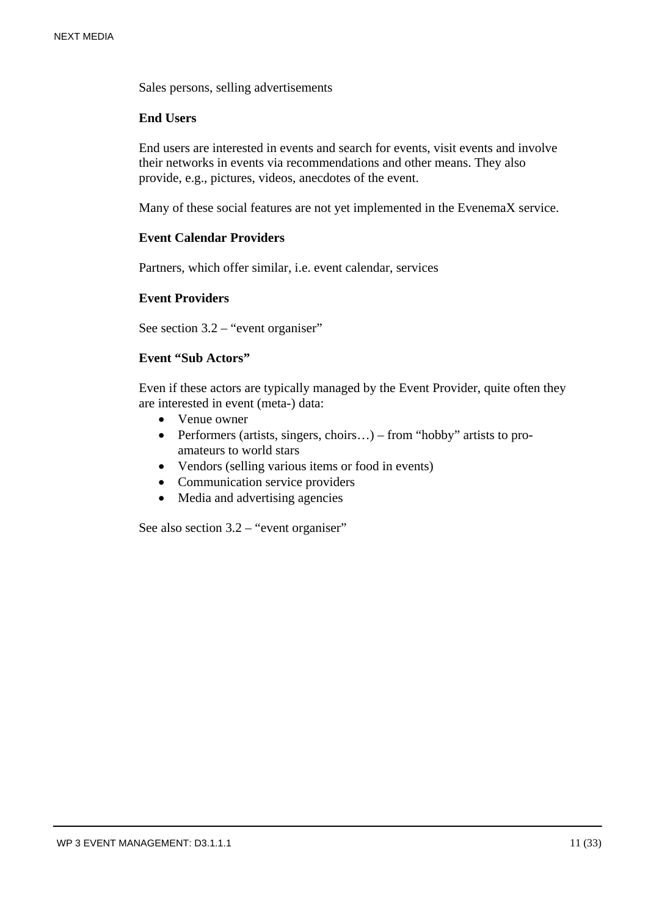Sales persons, selling advertisements

#### **End Users**

End users are interested in events and search for events, visit events and involve their networks in events via recommendations and other means. They also provide, e.g., pictures, videos, anecdotes of the event.

Many of these social features are not yet implemented in the EvenemaX service.

#### **Event Calendar Providers**

Partners, which offer similar, i.e. event calendar, services

#### **Event Providers**

See section 3.2 – "event organiser"

#### **Event "Sub Actors"**

Even if these actors are typically managed by the Event Provider, quite often they are interested in event (meta-) data:

- Venue owner
- Performers (artists, singers, choirs...) from "hobby" artists to proamateurs to world stars
- Vendors (selling various items or food in events)
- Communication service providers
- Media and advertising agencies

See also section 3.2 – "event organiser"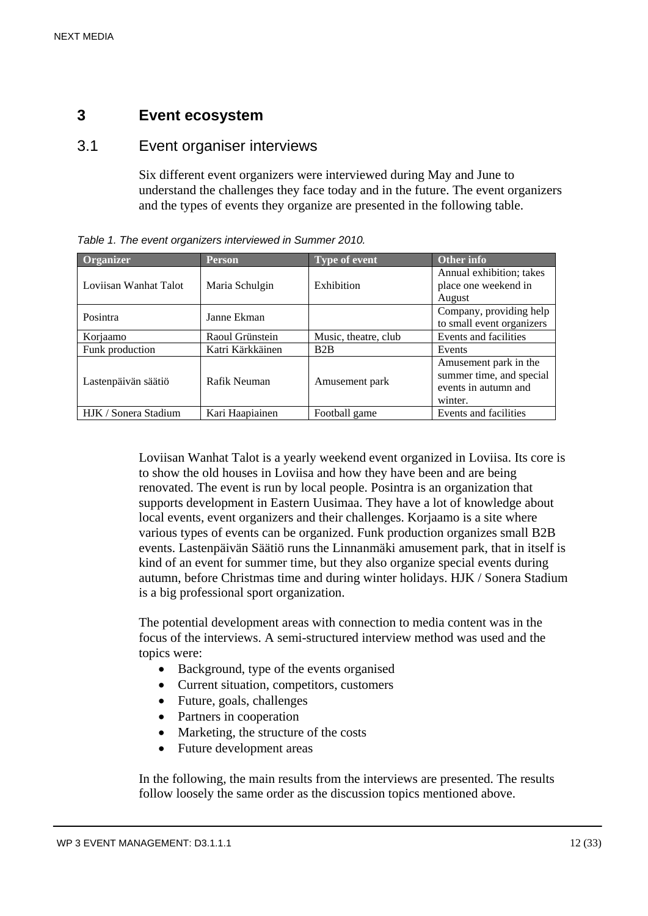# **3 Event ecosystem**

#### 3.1 Event organiser interviews

Six different event organizers were interviewed during May and June to understand the challenges they face today and in the future. The event organizers and the types of events they organize are presented in the following table.

| Organizer             | Person           | <b>Type of event</b> | Other info                |
|-----------------------|------------------|----------------------|---------------------------|
|                       | Maria Schulgin   | Exhibition           | Annual exhibition; takes  |
| Loviisan Wanhat Talot |                  |                      | place one weekend in      |
|                       |                  |                      | August                    |
| Posintra              | Janne Ekman      |                      | Company, providing help   |
|                       |                  |                      | to small event organizers |
| Korjaamo              | Raoul Grünstein  | Music, theatre, club | Events and facilities     |
| Funk production       | Katri Kärkkäinen | B2B                  | Events                    |
|                       | Rafik Neuman     | Amusement park       | Amusement park in the     |
| Lastenpäivän säätiö   |                  |                      | summer time, and special  |
|                       |                  |                      | events in autumn and      |
|                       |                  |                      | winter.                   |
| HJK / Sonera Stadium  | Kari Haapiainen  | Football game        | Events and facilities     |

*Table 1. The event organizers interviewed in Summer 2010.* 

Loviisan Wanhat Talot is a yearly weekend event organized in Loviisa. Its core is to show the old houses in Loviisa and how they have been and are being renovated. The event is run by local people. Posintra is an organization that supports development in Eastern Uusimaa. They have a lot of knowledge about local events, event organizers and their challenges. Korjaamo is a site where various types of events can be organized. Funk production organizes small B2B events. Lastenpäivän Säätiö runs the Linnanmäki amusement park, that in itself is kind of an event for summer time, but they also organize special events during autumn, before Christmas time and during winter holidays. HJK / Sonera Stadium is a big professional sport organization.

The potential development areas with connection to media content was in the focus of the interviews. A semi-structured interview method was used and the topics were:

- Background, type of the events organised
- Current situation, competitors, customers
- Future, goals, challenges
- Partners in cooperation
- Marketing, the structure of the costs
- Future development areas

In the following, the main results from the interviews are presented. The results follow loosely the same order as the discussion topics mentioned above.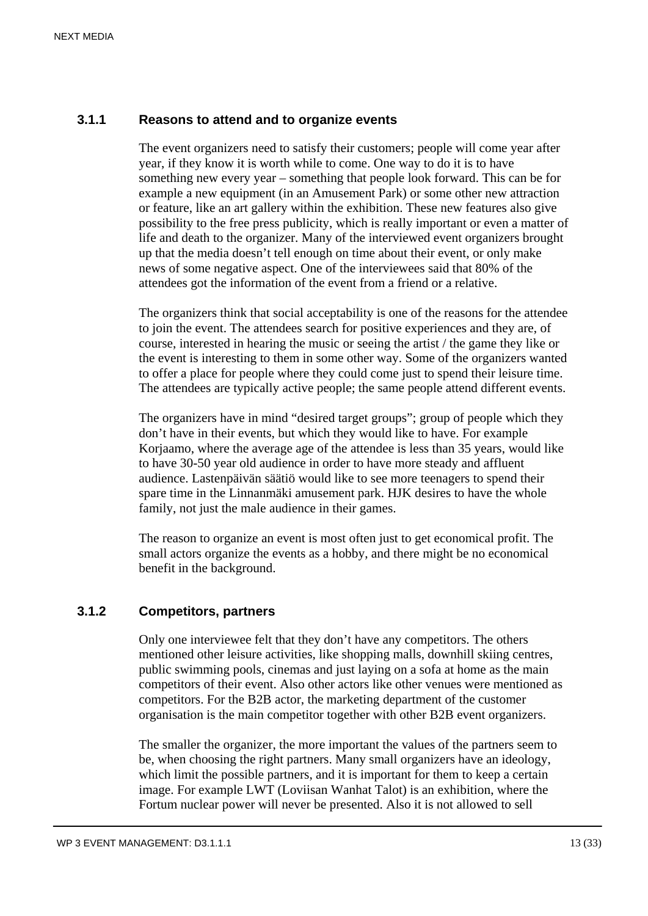#### **3.1.1 Reasons to attend and to organize events**

The event organizers need to satisfy their customers; people will come year after year, if they know it is worth while to come. One way to do it is to have something new every year – something that people look forward. This can be for example a new equipment (in an Amusement Park) or some other new attraction or feature, like an art gallery within the exhibition. These new features also give possibility to the free press publicity, which is really important or even a matter of life and death to the organizer. Many of the interviewed event organizers brought up that the media doesn't tell enough on time about their event, or only make news of some negative aspect. One of the interviewees said that 80% of the attendees got the information of the event from a friend or a relative.

The organizers think that social acceptability is one of the reasons for the attendee to join the event. The attendees search for positive experiences and they are, of course, interested in hearing the music or seeing the artist / the game they like or the event is interesting to them in some other way. Some of the organizers wanted to offer a place for people where they could come just to spend their leisure time. The attendees are typically active people; the same people attend different events.

The organizers have in mind "desired target groups"; group of people which they don't have in their events, but which they would like to have. For example Korjaamo, where the average age of the attendee is less than 35 years, would like to have 30-50 year old audience in order to have more steady and affluent audience. Lastenpäivän säätiö would like to see more teenagers to spend their spare time in the Linnanmäki amusement park. HJK desires to have the whole family, not just the male audience in their games.

The reason to organize an event is most often just to get economical profit. The small actors organize the events as a hobby, and there might be no economical benefit in the background.

# **3.1.2 Competitors, partners**

Only one interviewee felt that they don't have any competitors. The others mentioned other leisure activities, like shopping malls, downhill skiing centres, public swimming pools, cinemas and just laying on a sofa at home as the main competitors of their event. Also other actors like other venues were mentioned as competitors. For the B2B actor, the marketing department of the customer organisation is the main competitor together with other B2B event organizers.

The smaller the organizer, the more important the values of the partners seem to be, when choosing the right partners. Many small organizers have an ideology, which limit the possible partners, and it is important for them to keep a certain image. For example LWT (Loviisan Wanhat Talot) is an exhibition, where the Fortum nuclear power will never be presented. Also it is not allowed to sell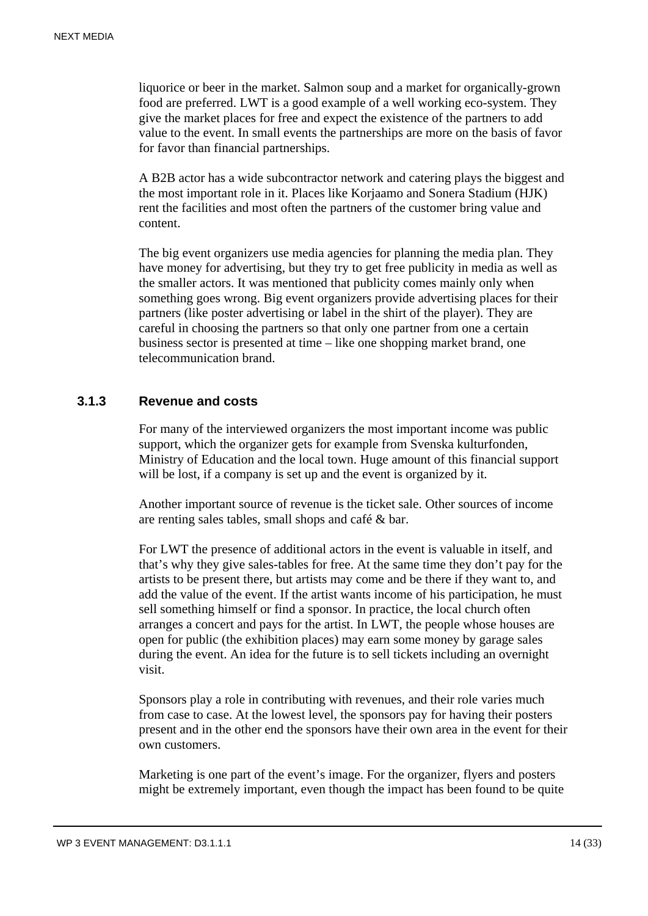liquorice or beer in the market. Salmon soup and a market for organically-grown food are preferred. LWT is a good example of a well working eco-system. They give the market places for free and expect the existence of the partners to add value to the event. In small events the partnerships are more on the basis of favor for favor than financial partnerships.

A B2B actor has a wide subcontractor network and catering plays the biggest and the most important role in it. Places like Korjaamo and Sonera Stadium (HJK) rent the facilities and most often the partners of the customer bring value and content.

The big event organizers use media agencies for planning the media plan. They have money for advertising, but they try to get free publicity in media as well as the smaller actors. It was mentioned that publicity comes mainly only when something goes wrong. Big event organizers provide advertising places for their partners (like poster advertising or label in the shirt of the player). They are careful in choosing the partners so that only one partner from one a certain business sector is presented at time – like one shopping market brand, one telecommunication brand.

#### **3.1.3 Revenue and costs**

For many of the interviewed organizers the most important income was public support, which the organizer gets for example from Svenska kulturfonden, Ministry of Education and the local town. Huge amount of this financial support will be lost, if a company is set up and the event is organized by it.

Another important source of revenue is the ticket sale. Other sources of income are renting sales tables, small shops and café & bar.

For LWT the presence of additional actors in the event is valuable in itself, and that's why they give sales-tables for free. At the same time they don't pay for the artists to be present there, but artists may come and be there if they want to, and add the value of the event. If the artist wants income of his participation, he must sell something himself or find a sponsor. In practice, the local church often arranges a concert and pays for the artist. In LWT, the people whose houses are open for public (the exhibition places) may earn some money by garage sales during the event. An idea for the future is to sell tickets including an overnight visit.

Sponsors play a role in contributing with revenues, and their role varies much from case to case. At the lowest level, the sponsors pay for having their posters present and in the other end the sponsors have their own area in the event for their own customers.

Marketing is one part of the event's image. For the organizer, flyers and posters might be extremely important, even though the impact has been found to be quite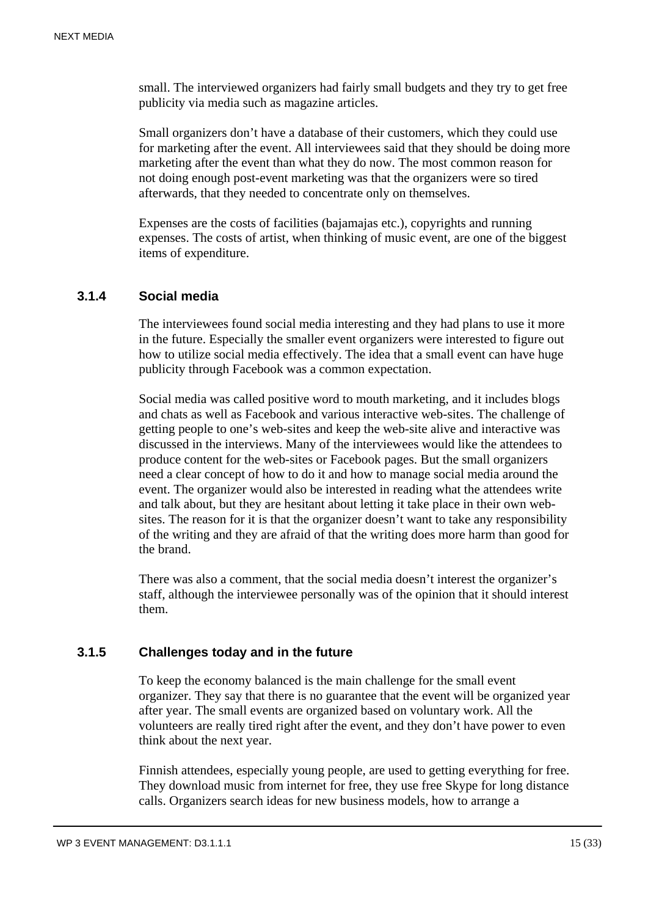small. The interviewed organizers had fairly small budgets and they try to get free publicity via media such as magazine articles.

Small organizers don't have a database of their customers, which they could use for marketing after the event. All interviewees said that they should be doing more marketing after the event than what they do now. The most common reason for not doing enough post-event marketing was that the organizers were so tired afterwards, that they needed to concentrate only on themselves.

Expenses are the costs of facilities (bajamajas etc.), copyrights and running expenses. The costs of artist, when thinking of music event, are one of the biggest items of expenditure.

#### **3.1.4 Social media**

The interviewees found social media interesting and they had plans to use it more in the future. Especially the smaller event organizers were interested to figure out how to utilize social media effectively. The idea that a small event can have huge publicity through Facebook was a common expectation.

Social media was called positive word to mouth marketing, and it includes blogs and chats as well as Facebook and various interactive web-sites. The challenge of getting people to one's web-sites and keep the web-site alive and interactive was discussed in the interviews. Many of the interviewees would like the attendees to produce content for the web-sites or Facebook pages. But the small organizers need a clear concept of how to do it and how to manage social media around the event. The organizer would also be interested in reading what the attendees write and talk about, but they are hesitant about letting it take place in their own websites. The reason for it is that the organizer doesn't want to take any responsibility of the writing and they are afraid of that the writing does more harm than good for the brand.

There was also a comment, that the social media doesn't interest the organizer's staff, although the interviewee personally was of the opinion that it should interest them.

#### **3.1.5 Challenges today and in the future**

To keep the economy balanced is the main challenge for the small event organizer. They say that there is no guarantee that the event will be organized year after year. The small events are organized based on voluntary work. All the volunteers are really tired right after the event, and they don't have power to even think about the next year.

Finnish attendees, especially young people, are used to getting everything for free. They download music from internet for free, they use free Skype for long distance calls. Organizers search ideas for new business models, how to arrange a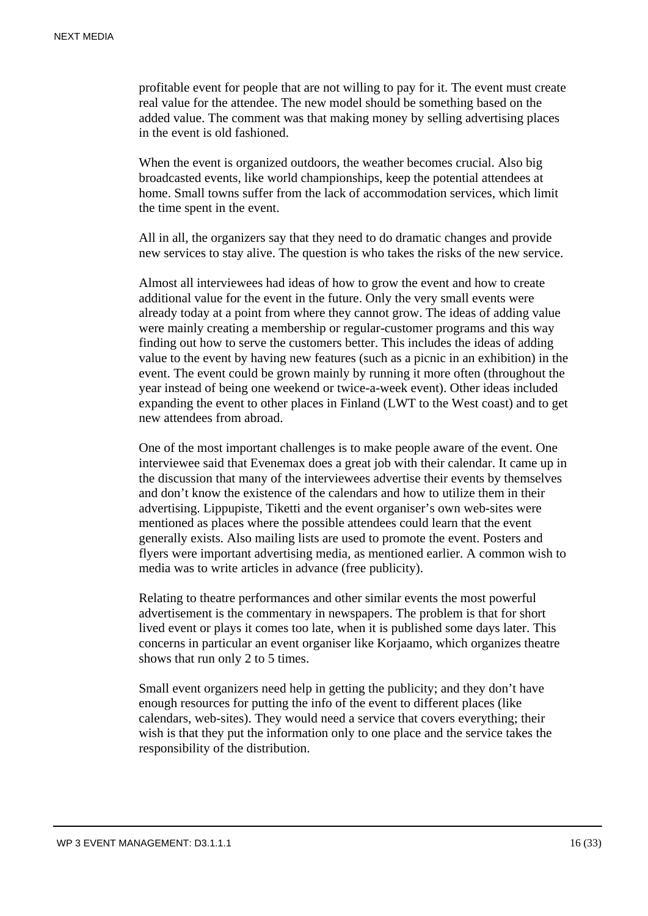profitable event for people that are not willing to pay for it. The event must create real value for the attendee. The new model should be something based on the added value. The comment was that making money by selling advertising places in the event is old fashioned.

When the event is organized outdoors, the weather becomes crucial. Also big broadcasted events, like world championships, keep the potential attendees at home. Small towns suffer from the lack of accommodation services, which limit the time spent in the event.

All in all, the organizers say that they need to do dramatic changes and provide new services to stay alive. The question is who takes the risks of the new service.

Almost all interviewees had ideas of how to grow the event and how to create additional value for the event in the future. Only the very small events were already today at a point from where they cannot grow. The ideas of adding value were mainly creating a membership or regular-customer programs and this way finding out how to serve the customers better. This includes the ideas of adding value to the event by having new features (such as a picnic in an exhibition) in the event. The event could be grown mainly by running it more often (throughout the year instead of being one weekend or twice-a-week event). Other ideas included expanding the event to other places in Finland (LWT to the West coast) and to get new attendees from abroad.

One of the most important challenges is to make people aware of the event. One interviewee said that Evenemax does a great job with their calendar. It came up in the discussion that many of the interviewees advertise their events by themselves and don't know the existence of the calendars and how to utilize them in their advertising. Lippupiste, Tiketti and the event organiser's own web-sites were mentioned as places where the possible attendees could learn that the event generally exists. Also mailing lists are used to promote the event. Posters and flyers were important advertising media, as mentioned earlier. A common wish to media was to write articles in advance (free publicity).

Relating to theatre performances and other similar events the most powerful advertisement is the commentary in newspapers. The problem is that for short lived event or plays it comes too late, when it is published some days later. This concerns in particular an event organiser like Korjaamo, which organizes theatre shows that run only 2 to 5 times.

Small event organizers need help in getting the publicity; and they don't have enough resources for putting the info of the event to different places (like calendars, web-sites). They would need a service that covers everything; their wish is that they put the information only to one place and the service takes the responsibility of the distribution.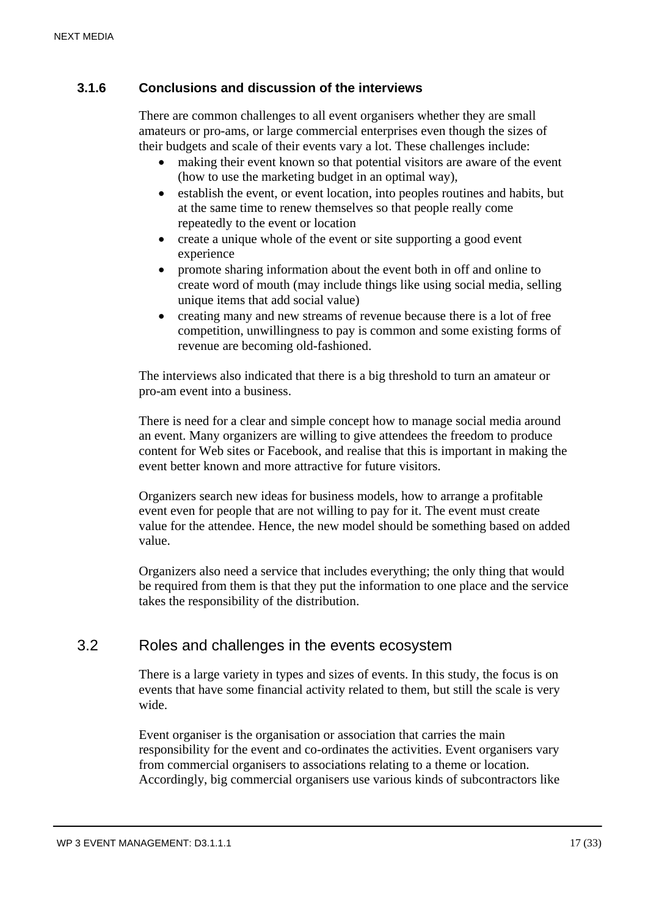# **3.1.6 Conclusions and discussion of the interviews**

There are common challenges to all event organisers whether they are small amateurs or pro-ams, or large commercial enterprises even though the sizes of their budgets and scale of their events vary a lot. These challenges include:

- making their event known so that potential visitors are aware of the event (how to use the marketing budget in an optimal way),
- establish the event, or event location, into peoples routines and habits, but at the same time to renew themselves so that people really come repeatedly to the event or location
- create a unique whole of the event or site supporting a good event experience
- promote sharing information about the event both in off and online to create word of mouth (may include things like using social media, selling unique items that add social value)
- creating many and new streams of revenue because there is a lot of free competition, unwillingness to pay is common and some existing forms of revenue are becoming old-fashioned.

The interviews also indicated that there is a big threshold to turn an amateur or pro-am event into a business.

There is need for a clear and simple concept how to manage social media around an event. Many organizers are willing to give attendees the freedom to produce content for Web sites or Facebook, and realise that this is important in making the event better known and more attractive for future visitors.

Organizers search new ideas for business models, how to arrange a profitable event even for people that are not willing to pay for it. The event must create value for the attendee. Hence, the new model should be something based on added value.

Organizers also need a service that includes everything; the only thing that would be required from them is that they put the information to one place and the service takes the responsibility of the distribution.

# 3.2 Roles and challenges in the events ecosystem

There is a large variety in types and sizes of events. In this study, the focus is on events that have some financial activity related to them, but still the scale is very wide.

Event organiser is the organisation or association that carries the main responsibility for the event and co-ordinates the activities. Event organisers vary from commercial organisers to associations relating to a theme or location. Accordingly, big commercial organisers use various kinds of subcontractors like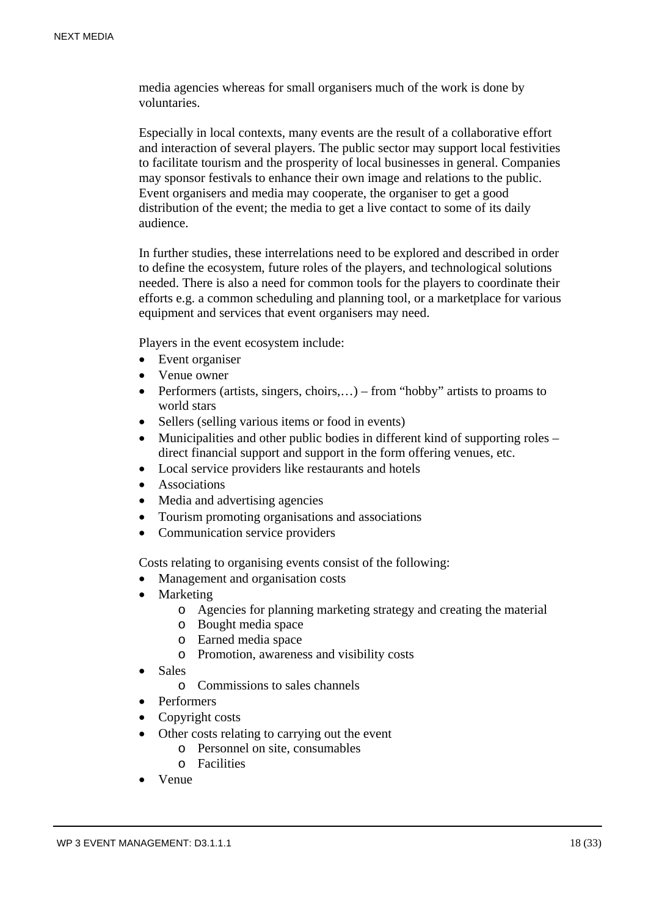media agencies whereas for small organisers much of the work is done by voluntaries.

Especially in local contexts, many events are the result of a collaborative effort and interaction of several players. The public sector may support local festivities to facilitate tourism and the prosperity of local businesses in general. Companies may sponsor festivals to enhance their own image and relations to the public. Event organisers and media may cooperate, the organiser to get a good distribution of the event; the media to get a live contact to some of its daily audience.

In further studies, these interrelations need to be explored and described in order to define the ecosystem, future roles of the players, and technological solutions needed. There is also a need for common tools for the players to coordinate their efforts e.g. a common scheduling and planning tool, or a marketplace for various equipment and services that event organisers may need.

Players in the event ecosystem include:

- Event organiser
- Venue owner
- Performers (artists, singers, choirs,...) from "hobby" artists to proams to world stars
- Sellers (selling various items or food in events)
- Municipalities and other public bodies in different kind of supporting roles direct financial support and support in the form offering venues, etc.
- Local service providers like restaurants and hotels
- Associations
- Media and advertising agencies
- Tourism promoting organisations and associations
- Communication service providers

Costs relating to organising events consist of the following:

- Management and organisation costs
- Marketing
	- o Agencies for planning marketing strategy and creating the material
	- o Bought media space
	- o Earned media space
	- o Promotion, awareness and visibility costs
- Sales
	- o Commissions to sales channels
- Performers
- Copyright costs
- Other costs relating to carrying out the event
	- o Personnel on site, consumables
	- o Facilities
- Venue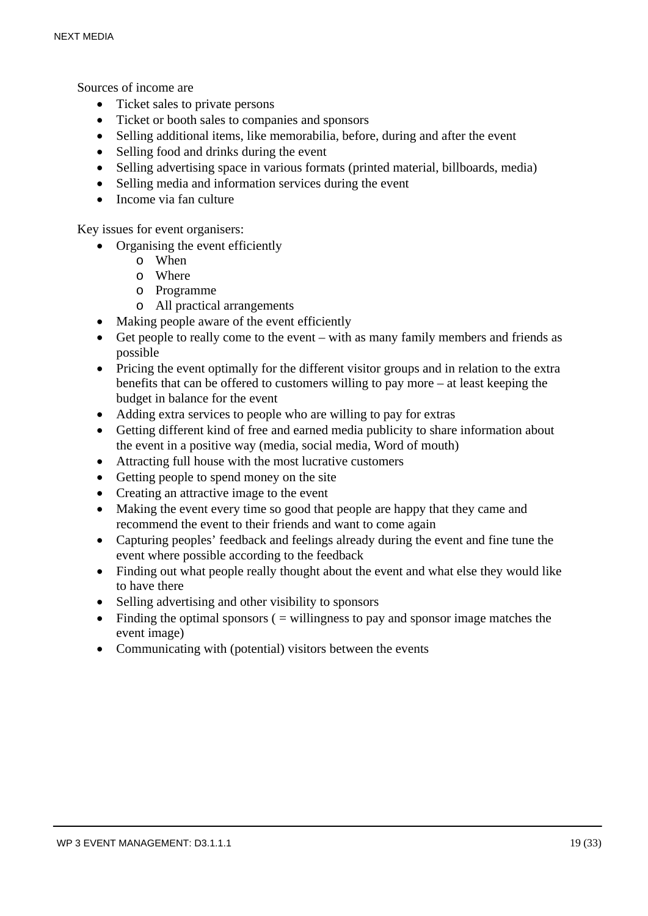Sources of income are

- Ticket sales to private persons
- Ticket or booth sales to companies and sponsors
- Selling additional items, like memorabilia, before, during and after the event
- Selling food and drinks during the event
- Selling advertising space in various formats (printed material, billboards, media)
- Selling media and information services during the event
- **Income via fan culture**
- Key issues for event organisers:
	- Organising the event efficiently
		- o When
		- o Where
		- o Programme
		- o All practical arrangements
	- Making people aware of the event efficiently
	- Get people to really come to the event with as many family members and friends as possible
	- Pricing the event optimally for the different visitor groups and in relation to the extra benefits that can be offered to customers willing to pay more – at least keeping the budget in balance for the event
	- Adding extra services to people who are willing to pay for extras
	- Getting different kind of free and earned media publicity to share information about the event in a positive way (media, social media, Word of mouth)
	- Attracting full house with the most lucrative customers
	- Getting people to spend money on the site
	- Creating an attractive image to the event
	- Making the event every time so good that people are happy that they came and recommend the event to their friends and want to come again
	- Capturing peoples' feedback and feelings already during the event and fine tune the event where possible according to the feedback
	- Finding out what people really thought about the event and what else they would like to have there
	- Selling advertising and other visibility to sponsors
	- $\bullet$  Finding the optimal sponsors (  $=$  willingness to pay and sponsor image matches the event image)
	- Communicating with (potential) visitors between the events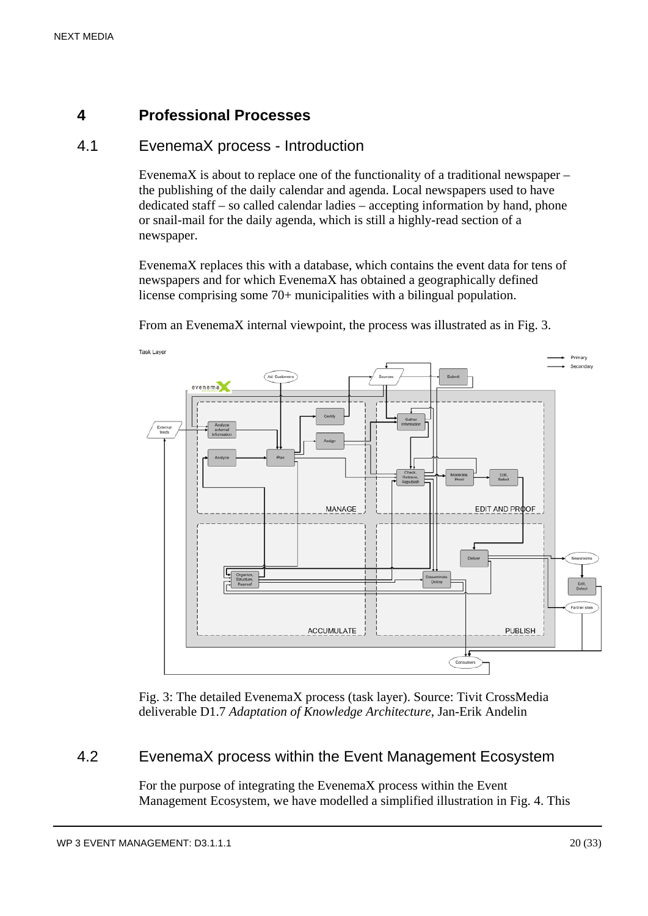# **4 Professional Processes**

# 4.1 EvenemaX process - Introduction

EvenemaX is about to replace one of the functionality of a traditional newspaper – the publishing of the daily calendar and agenda. Local newspapers used to have dedicated staff – so called calendar ladies – accepting information by hand, phone or snail-mail for the daily agenda, which is still a highly-read section of a newspaper.

EvenemaX replaces this with a database, which contains the event data for tens of newspapers and for which EvenemaX has obtained a geographically defined license comprising some 70+ municipalities with a bilingual population.

From an EvenemaX internal viewpoint, the process was illustrated as in Fig. 3.



Fig. 3: The detailed EvenemaX process (task layer). Source: Tivit CrossMedia deliverable D1.7 *Adaptation of Knowledge Architecture*, Jan-Erik Andelin

# 4.2 EvenemaX process within the Event Management Ecosystem

For the purpose of integrating the EvenemaX process within the Event Management Ecosystem, we have modelled a simplified illustration in Fig. 4. This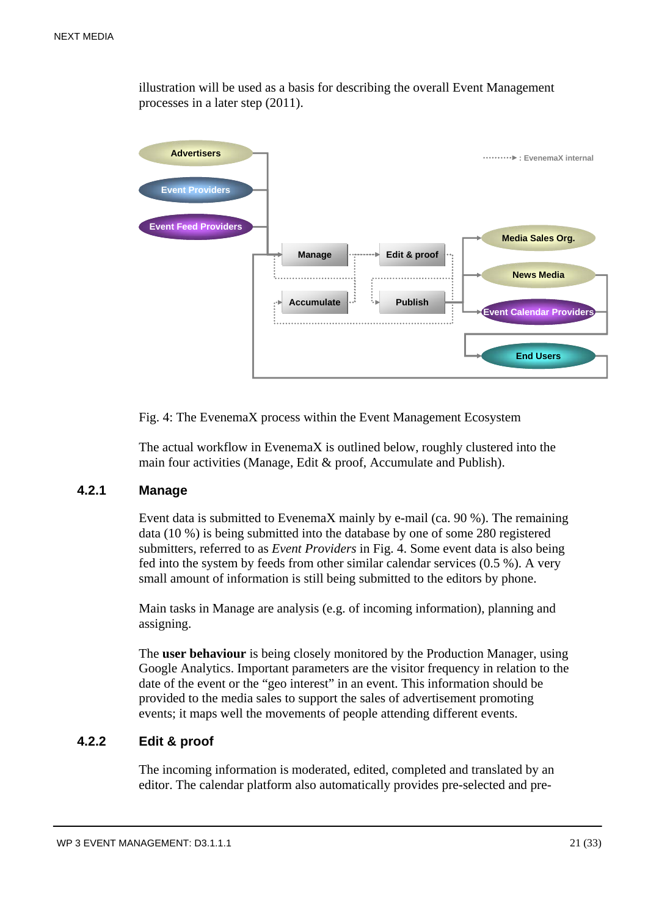illustration will be used as a basis for describing the overall Event Management processes in a later step (2011).



Fig. 4: The EvenemaX process within the Event Management Ecosystem

The actual workflow in EvenemaX is outlined below, roughly clustered into the main four activities (Manage, Edit & proof, Accumulate and Publish).

#### **4.2.1 Manage**

Event data is submitted to EvenemaX mainly by e-mail (ca. 90 %). The remaining data (10 %) is being submitted into the database by one of some 280 registered submitters, referred to as *Event Providers* in Fig. 4. Some event data is also being fed into the system by feeds from other similar calendar services (0.5 %). A very small amount of information is still being submitted to the editors by phone.

Main tasks in Manage are analysis (e.g. of incoming information), planning and assigning.

The **user behaviour** is being closely monitored by the Production Manager, using Google Analytics. Important parameters are the visitor frequency in relation to the date of the event or the "geo interest" in an event. This information should be provided to the media sales to support the sales of advertisement promoting events; it maps well the movements of people attending different events.

#### **4.2.2 Edit & proof**

The incoming information is moderated, edited, completed and translated by an editor. The calendar platform also automatically provides pre-selected and pre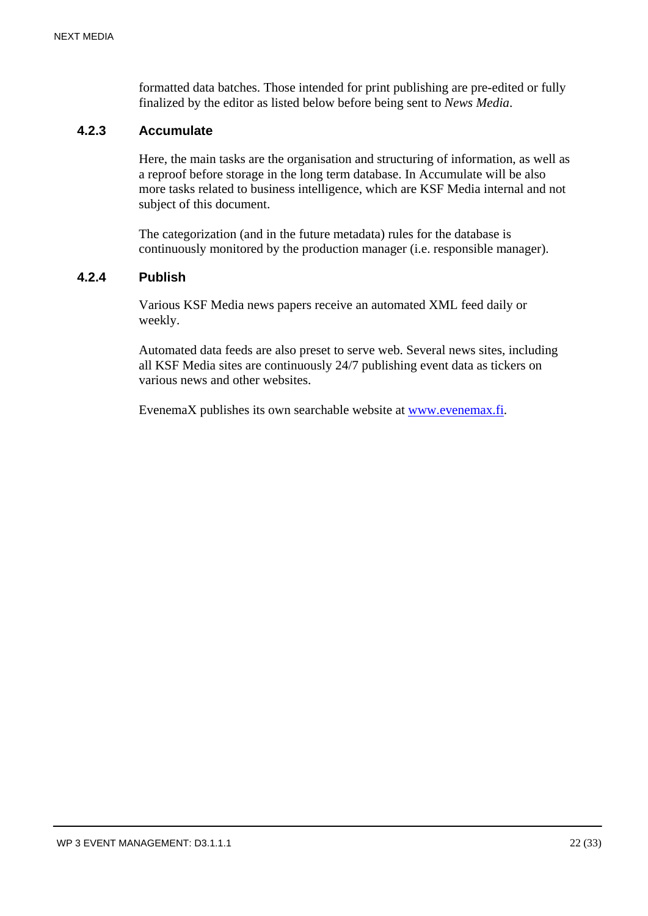formatted data batches. Those intended for print publishing are pre-edited or fully finalized by the editor as listed below before being sent to *News Media*.

# **4.2.3 Accumulate**

Here, the main tasks are the organisation and structuring of information, as well as a reproof before storage in the long term database. In Accumulate will be also more tasks related to business intelligence, which are KSF Media internal and not subject of this document.

The categorization (and in the future metadata) rules for the database is continuously monitored by the production manager (i.e. responsible manager).

#### **4.2.4 Publish**

Various KSF Media news papers receive an automated XML feed daily or weekly.

Automated data feeds are also preset to serve web. Several news sites, including all KSF Media sites are continuously 24/7 publishing event data as tickers on various news and other websites.

EvenemaX publishes its own searchable website at www.evenemax.fi.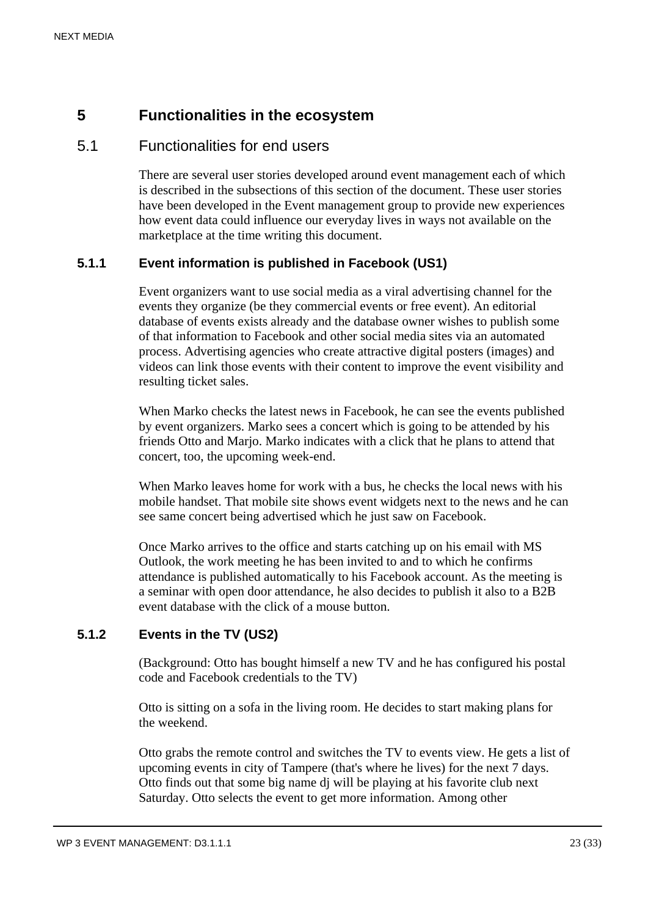# **5 Functionalities in the ecosystem**

# 5.1 Functionalities for end users

There are several user stories developed around event management each of which is described in the subsections of this section of the document. These user stories have been developed in the Event management group to provide new experiences how event data could influence our everyday lives in ways not available on the marketplace at the time writing this document.

# **5.1.1 Event information is published in Facebook (US1)**

Event organizers want to use social media as a viral advertising channel for the events they organize (be they commercial events or free event). An editorial database of events exists already and the database owner wishes to publish some of that information to Facebook and other social media sites via an automated process. Advertising agencies who create attractive digital posters (images) and videos can link those events with their content to improve the event visibility and resulting ticket sales.

When Marko checks the latest news in Facebook, he can see the events published by event organizers. Marko sees a concert which is going to be attended by his friends Otto and Marjo. Marko indicates with a click that he plans to attend that concert, too, the upcoming week-end.

When Marko leaves home for work with a bus, he checks the local news with his mobile handset. That mobile site shows event widgets next to the news and he can see same concert being advertised which he just saw on Facebook.

Once Marko arrives to the office and starts catching up on his email with MS Outlook, the work meeting he has been invited to and to which he confirms attendance is published automatically to his Facebook account. As the meeting is a seminar with open door attendance, he also decides to publish it also to a B2B event database with the click of a mouse button.

# **5.1.2 Events in the TV (US2)**

(Background: Otto has bought himself a new TV and he has configured his postal code and Facebook credentials to the TV)

Otto is sitting on a sofa in the living room. He decides to start making plans for the weekend.

Otto grabs the remote control and switches the TV to events view. He gets a list of upcoming events in city of Tampere (that's where he lives) for the next 7 days. Otto finds out that some big name dj will be playing at his favorite club next Saturday. Otto selects the event to get more information. Among other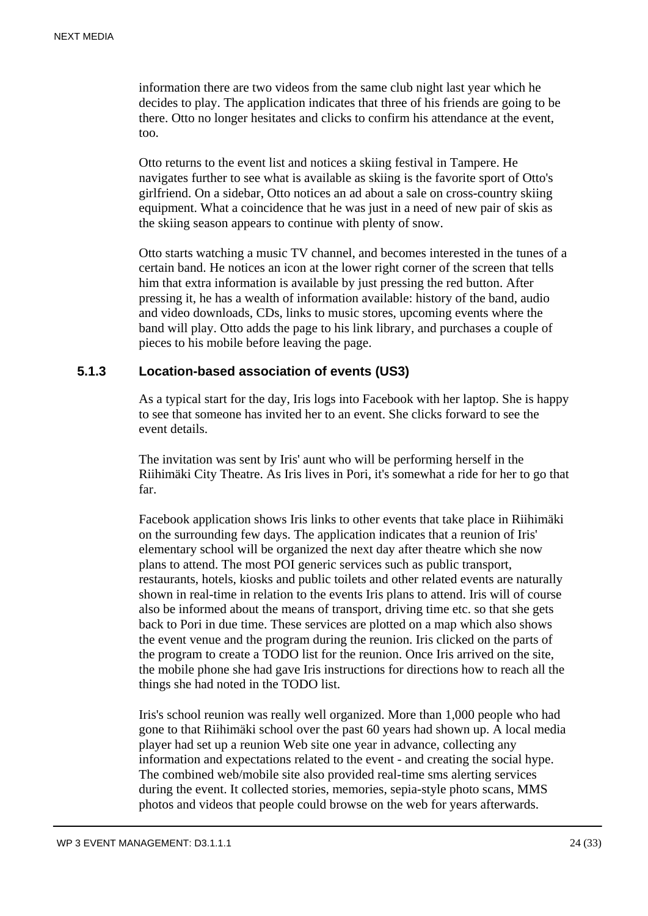information there are two videos from the same club night last year which he decides to play. The application indicates that three of his friends are going to be there. Otto no longer hesitates and clicks to confirm his attendance at the event, too.

Otto returns to the event list and notices a skiing festival in Tampere. He navigates further to see what is available as skiing is the favorite sport of Otto's girlfriend. On a sidebar, Otto notices an ad about a sale on cross-country skiing equipment. What a coincidence that he was just in a need of new pair of skis as the skiing season appears to continue with plenty of snow.

Otto starts watching a music TV channel, and becomes interested in the tunes of a certain band. He notices an icon at the lower right corner of the screen that tells him that extra information is available by just pressing the red button. After pressing it, he has a wealth of information available: history of the band, audio and video downloads, CDs, links to music stores, upcoming events where the band will play. Otto adds the page to his link library, and purchases a couple of pieces to his mobile before leaving the page.

#### **5.1.3 Location-based association of events (US3)**

As a typical start for the day, Iris logs into Facebook with her laptop. She is happy to see that someone has invited her to an event. She clicks forward to see the event details.

The invitation was sent by Iris' aunt who will be performing herself in the Riihimäki City Theatre. As Iris lives in Pori, it's somewhat a ride for her to go that far.

Facebook application shows Iris links to other events that take place in Riihimäki on the surrounding few days. The application indicates that a reunion of Iris' elementary school will be organized the next day after theatre which she now plans to attend. The most POI generic services such as public transport, restaurants, hotels, kiosks and public toilets and other related events are naturally shown in real-time in relation to the events Iris plans to attend. Iris will of course also be informed about the means of transport, driving time etc. so that she gets back to Pori in due time. These services are plotted on a map which also shows the event venue and the program during the reunion. Iris clicked on the parts of the program to create a TODO list for the reunion. Once Iris arrived on the site, the mobile phone she had gave Iris instructions for directions how to reach all the things she had noted in the TODO list.

Iris's school reunion was really well organized. More than 1,000 people who had gone to that Riihimäki school over the past 60 years had shown up. A local media player had set up a reunion Web site one year in advance, collecting any information and expectations related to the event - and creating the social hype. The combined web/mobile site also provided real-time sms alerting services during the event. It collected stories, memories, sepia-style photo scans, MMS photos and videos that people could browse on the web for years afterwards.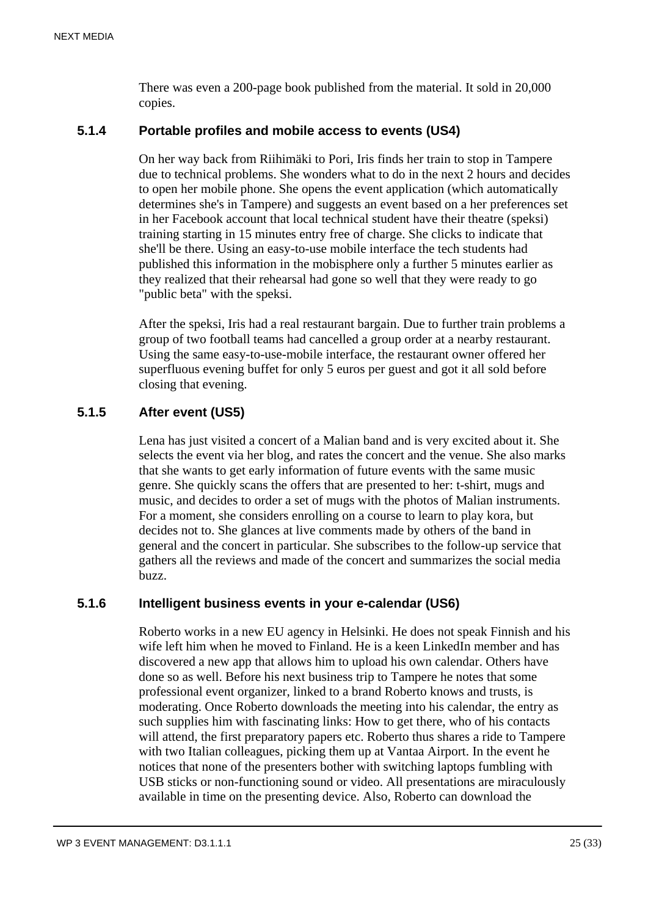There was even a 200-page book published from the material. It sold in 20,000 copies.

# **5.1.4 Portable profiles and mobile access to events (US4)**

On her way back from Riihimäki to Pori, Iris finds her train to stop in Tampere due to technical problems. She wonders what to do in the next 2 hours and decides to open her mobile phone. She opens the event application (which automatically determines she's in Tampere) and suggests an event based on a her preferences set in her Facebook account that local technical student have their theatre (speksi) training starting in 15 minutes entry free of charge. She clicks to indicate that she'll be there. Using an easy-to-use mobile interface the tech students had published this information in the mobisphere only a further 5 minutes earlier as they realized that their rehearsal had gone so well that they were ready to go "public beta" with the speksi.

After the speksi, Iris had a real restaurant bargain. Due to further train problems a group of two football teams had cancelled a group order at a nearby restaurant. Using the same easy-to-use-mobile interface, the restaurant owner offered her superfluous evening buffet for only 5 euros per guest and got it all sold before closing that evening.

# **5.1.5 After event (US5)**

Lena has just visited a concert of a Malian band and is very excited about it. She selects the event via her blog, and rates the concert and the venue. She also marks that she wants to get early information of future events with the same music genre. She quickly scans the offers that are presented to her: t-shirt, mugs and music, and decides to order a set of mugs with the photos of Malian instruments. For a moment, she considers enrolling on a course to learn to play kora, but decides not to. She glances at live comments made by others of the band in general and the concert in particular. She subscribes to the follow-up service that gathers all the reviews and made of the concert and summarizes the social media buzz.

# **5.1.6 Intelligent business events in your e-calendar (US6)**

Roberto works in a new EU agency in Helsinki. He does not speak Finnish and his wife left him when he moved to Finland. He is a keen LinkedIn member and has discovered a new app that allows him to upload his own calendar. Others have done so as well. Before his next business trip to Tampere he notes that some professional event organizer, linked to a brand Roberto knows and trusts, is moderating. Once Roberto downloads the meeting into his calendar, the entry as such supplies him with fascinating links: How to get there, who of his contacts will attend, the first preparatory papers etc. Roberto thus shares a ride to Tampere with two Italian colleagues, picking them up at Vantaa Airport. In the event he notices that none of the presenters bother with switching laptops fumbling with USB sticks or non-functioning sound or video. All presentations are miraculously available in time on the presenting device. Also, Roberto can download the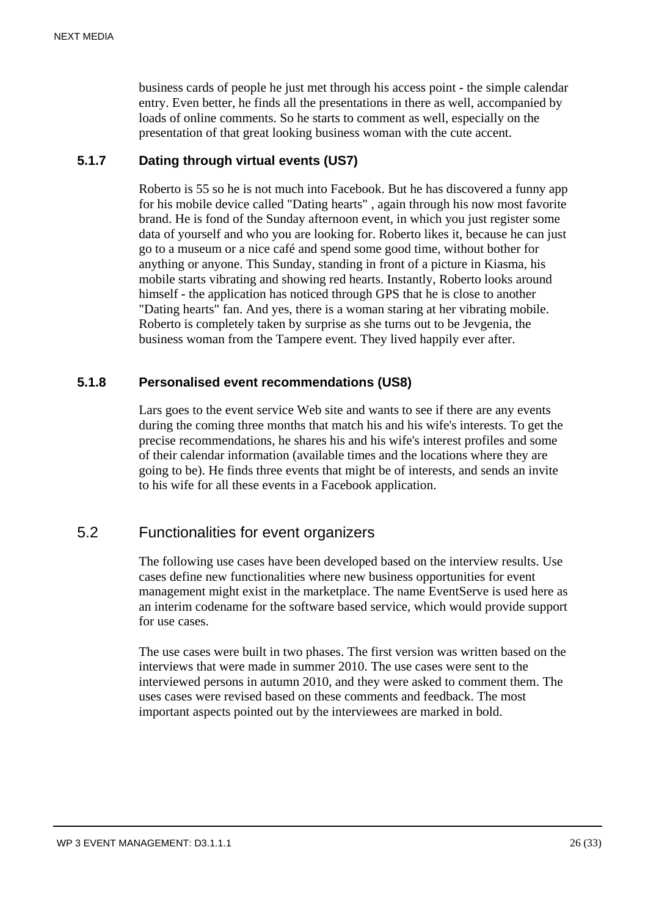business cards of people he just met through his access point - the simple calendar entry. Even better, he finds all the presentations in there as well, accompanied by loads of online comments. So he starts to comment as well, especially on the presentation of that great looking business woman with the cute accent.

# **5.1.7 Dating through virtual events (US7)**

Roberto is 55 so he is not much into Facebook. But he has discovered a funny app for his mobile device called "Dating hearts" , again through his now most favorite brand. He is fond of the Sunday afternoon event, in which you just register some data of yourself and who you are looking for. Roberto likes it, because he can just go to a museum or a nice café and spend some good time, without bother for anything or anyone. This Sunday, standing in front of a picture in Kiasma, his mobile starts vibrating and showing red hearts. Instantly, Roberto looks around himself - the application has noticed through GPS that he is close to another "Dating hearts" fan. And yes, there is a woman staring at her vibrating mobile. Roberto is completely taken by surprise as she turns out to be Jevgenia, the business woman from the Tampere event. They lived happily ever after.

#### **5.1.8 Personalised event recommendations (US8)**

Lars goes to the event service Web site and wants to see if there are any events during the coming three months that match his and his wife's interests. To get the precise recommendations, he shares his and his wife's interest profiles and some of their calendar information (available times and the locations where they are going to be). He finds three events that might be of interests, and sends an invite to his wife for all these events in a Facebook application.

# 5.2 Functionalities for event organizers

The following use cases have been developed based on the interview results. Use cases define new functionalities where new business opportunities for event management might exist in the marketplace. The name EventServe is used here as an interim codename for the software based service, which would provide support for use cases.

The use cases were built in two phases. The first version was written based on the interviews that were made in summer 2010. The use cases were sent to the interviewed persons in autumn 2010, and they were asked to comment them. The uses cases were revised based on these comments and feedback. The most important aspects pointed out by the interviewees are marked in bold.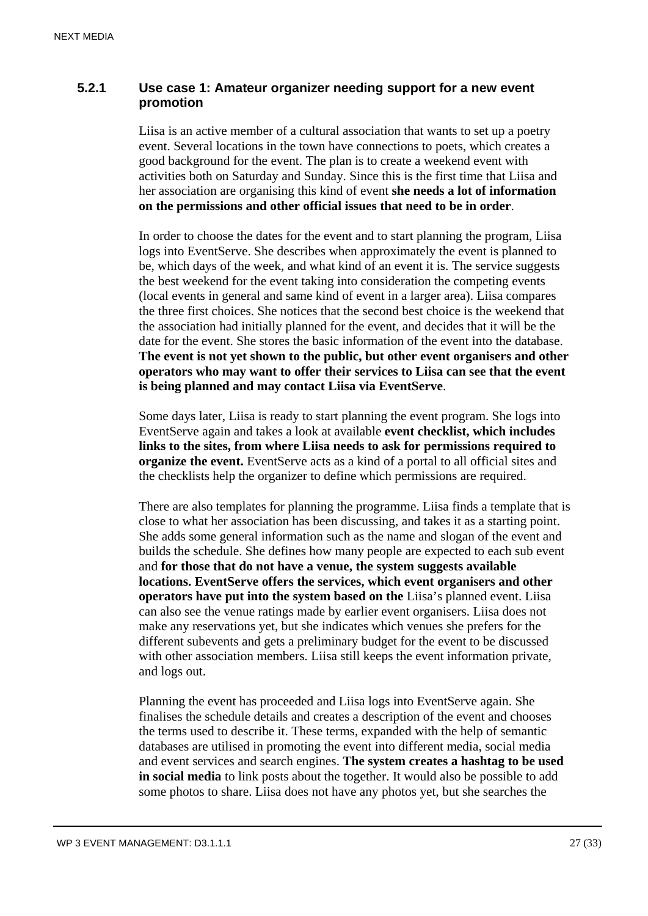# **5.2.1 Use case 1: Amateur organizer needing support for a new event promotion**

Liisa is an active member of a cultural association that wants to set up a poetry event. Several locations in the town have connections to poets, which creates a good background for the event. The plan is to create a weekend event with activities both on Saturday and Sunday. Since this is the first time that Liisa and her association are organising this kind of event **she needs a lot of information on the permissions and other official issues that need to be in order**.

In order to choose the dates for the event and to start planning the program, Liisa logs into EventServe. She describes when approximately the event is planned to be, which days of the week, and what kind of an event it is. The service suggests the best weekend for the event taking into consideration the competing events (local events in general and same kind of event in a larger area). Liisa compares the three first choices. She notices that the second best choice is the weekend that the association had initially planned for the event, and decides that it will be the date for the event. She stores the basic information of the event into the database. **The event is not yet shown to the public, but other event organisers and other operators who may want to offer their services to Liisa can see that the event is being planned and may contact Liisa via EventServe**.

Some days later, Liisa is ready to start planning the event program. She logs into EventServe again and takes a look at available **event checklist, which includes links to the sites, from where Liisa needs to ask for permissions required to organize the event.** EventServe acts as a kind of a portal to all official sites and the checklists help the organizer to define which permissions are required.

There are also templates for planning the programme. Liisa finds a template that is close to what her association has been discussing, and takes it as a starting point. She adds some general information such as the name and slogan of the event and builds the schedule. She defines how many people are expected to each sub event and **for those that do not have a venue, the system suggests available locations. EventServe offers the services, which event organisers and other operators have put into the system based on the** Liisa's planned event. Liisa can also see the venue ratings made by earlier event organisers. Liisa does not make any reservations yet, but she indicates which venues she prefers for the different subevents and gets a preliminary budget for the event to be discussed with other association members. Liisa still keeps the event information private, and logs out.

Planning the event has proceeded and Liisa logs into EventServe again. She finalises the schedule details and creates a description of the event and chooses the terms used to describe it. These terms, expanded with the help of semantic databases are utilised in promoting the event into different media, social media and event services and search engines. **The system creates a hashtag to be used in social media** to link posts about the together. It would also be possible to add some photos to share. Liisa does not have any photos yet, but she searches the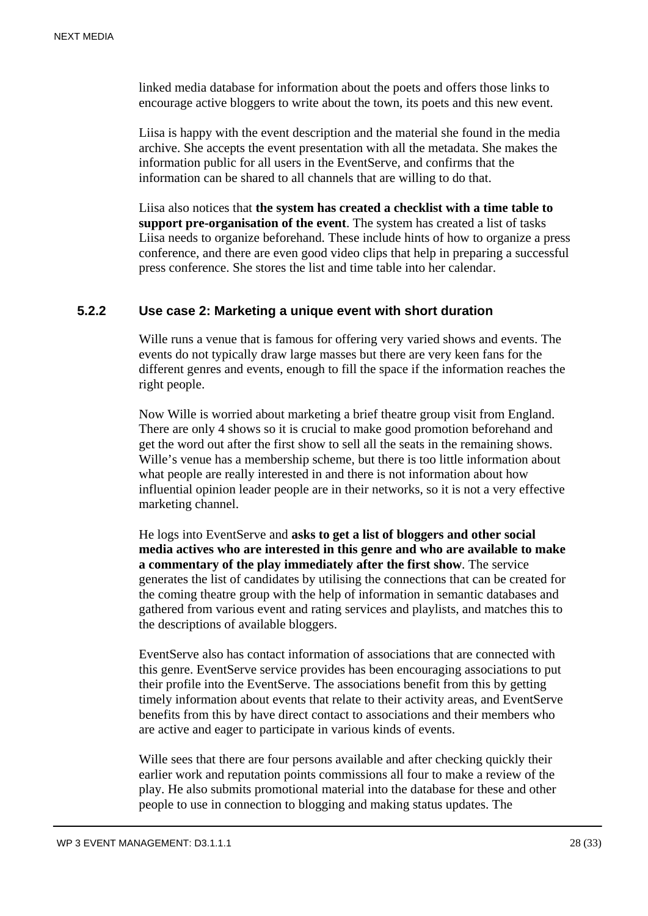linked media database for information about the poets and offers those links to encourage active bloggers to write about the town, its poets and this new event.

Liisa is happy with the event description and the material she found in the media archive. She accepts the event presentation with all the metadata. She makes the information public for all users in the EventServe, and confirms that the information can be shared to all channels that are willing to do that.

Liisa also notices that **the system has created a checklist with a time table to support pre-organisation of the event**. The system has created a list of tasks Liisa needs to organize beforehand. These include hints of how to organize a press conference, and there are even good video clips that help in preparing a successful press conference. She stores the list and time table into her calendar.

#### **5.2.2 Use case 2: Marketing a unique event with short duration**

Wille runs a venue that is famous for offering very varied shows and events. The events do not typically draw large masses but there are very keen fans for the different genres and events, enough to fill the space if the information reaches the right people.

Now Wille is worried about marketing a brief theatre group visit from England. There are only 4 shows so it is crucial to make good promotion beforehand and get the word out after the first show to sell all the seats in the remaining shows. Wille's venue has a membership scheme, but there is too little information about what people are really interested in and there is not information about how influential opinion leader people are in their networks, so it is not a very effective marketing channel.

He logs into EventServe and **asks to get a list of bloggers and other social media actives who are interested in this genre and who are available to make a commentary of the play immediately after the first show**. The service generates the list of candidates by utilising the connections that can be created for the coming theatre group with the help of information in semantic databases and gathered from various event and rating services and playlists, and matches this to the descriptions of available bloggers.

EventServe also has contact information of associations that are connected with this genre. EventServe service provides has been encouraging associations to put their profile into the EventServe. The associations benefit from this by getting timely information about events that relate to their activity areas, and EventServe benefits from this by have direct contact to associations and their members who are active and eager to participate in various kinds of events.

Wille sees that there are four persons available and after checking quickly their earlier work and reputation points commissions all four to make a review of the play. He also submits promotional material into the database for these and other people to use in connection to blogging and making status updates. The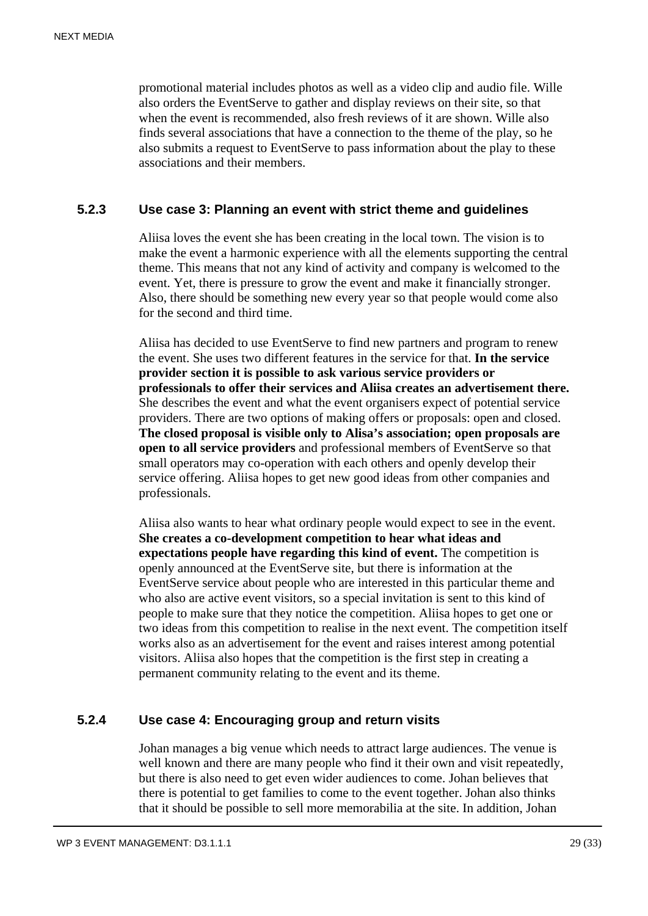promotional material includes photos as well as a video clip and audio file. Wille also orders the EventServe to gather and display reviews on their site, so that when the event is recommended, also fresh reviews of it are shown. Wille also finds several associations that have a connection to the theme of the play, so he also submits a request to EventServe to pass information about the play to these associations and their members.

#### **5.2.3 Use case 3: Planning an event with strict theme and guidelines**

Aliisa loves the event she has been creating in the local town. The vision is to make the event a harmonic experience with all the elements supporting the central theme. This means that not any kind of activity and company is welcomed to the event. Yet, there is pressure to grow the event and make it financially stronger. Also, there should be something new every year so that people would come also for the second and third time.

Aliisa has decided to use EventServe to find new partners and program to renew the event. She uses two different features in the service for that. **In the service provider section it is possible to ask various service providers or professionals to offer their services and Aliisa creates an advertisement there.** She describes the event and what the event organisers expect of potential service providers. There are two options of making offers or proposals: open and closed. **The closed proposal is visible only to Alisa's association; open proposals are open to all service providers** and professional members of EventServe so that small operators may co-operation with each others and openly develop their service offering. Aliisa hopes to get new good ideas from other companies and professionals.

Aliisa also wants to hear what ordinary people would expect to see in the event. **She creates a co-development competition to hear what ideas and expectations people have regarding this kind of event.** The competition is openly announced at the EventServe site, but there is information at the EventServe service about people who are interested in this particular theme and who also are active event visitors, so a special invitation is sent to this kind of people to make sure that they notice the competition. Aliisa hopes to get one or two ideas from this competition to realise in the next event. The competition itself works also as an advertisement for the event and raises interest among potential visitors. Aliisa also hopes that the competition is the first step in creating a permanent community relating to the event and its theme.

# **5.2.4 Use case 4: Encouraging group and return visits**

Johan manages a big venue which needs to attract large audiences. The venue is well known and there are many people who find it their own and visit repeatedly, but there is also need to get even wider audiences to come. Johan believes that there is potential to get families to come to the event together. Johan also thinks that it should be possible to sell more memorabilia at the site. In addition, Johan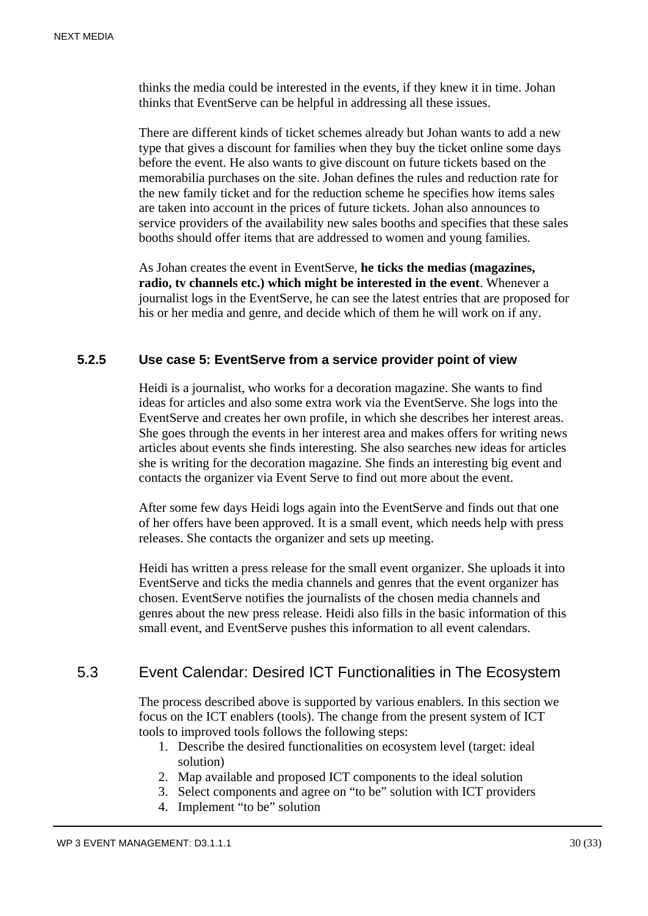thinks the media could be interested in the events, if they knew it in time. Johan thinks that EventServe can be helpful in addressing all these issues.

There are different kinds of ticket schemes already but Johan wants to add a new type that gives a discount for families when they buy the ticket online some days before the event. He also wants to give discount on future tickets based on the memorabilia purchases on the site. Johan defines the rules and reduction rate for the new family ticket and for the reduction scheme he specifies how items sales are taken into account in the prices of future tickets. Johan also announces to service providers of the availability new sales booths and specifies that these sales booths should offer items that are addressed to women and young families.

As Johan creates the event in EventServe, **he ticks the medias (magazines, radio, tv channels etc.) which might be interested in the event**. Whenever a journalist logs in the EventServe, he can see the latest entries that are proposed for his or her media and genre, and decide which of them he will work on if any.

#### **5.2.5 Use case 5: EventServe from a service provider point of view**

Heidi is a journalist, who works for a decoration magazine. She wants to find ideas for articles and also some extra work via the EventServe. She logs into the EventServe and creates her own profile, in which she describes her interest areas. She goes through the events in her interest area and makes offers for writing news articles about events she finds interesting. She also searches new ideas for articles she is writing for the decoration magazine. She finds an interesting big event and contacts the organizer via Event Serve to find out more about the event.

After some few days Heidi logs again into the EventServe and finds out that one of her offers have been approved. It is a small event, which needs help with press releases. She contacts the organizer and sets up meeting.

Heidi has written a press release for the small event organizer. She uploads it into EventServe and ticks the media channels and genres that the event organizer has chosen. EventServe notifies the journalists of the chosen media channels and genres about the new press release. Heidi also fills in the basic information of this small event, and EventServe pushes this information to all event calendars.

# 5.3 Event Calendar: Desired ICT Functionalities in The Ecosystem

The process described above is supported by various enablers. In this section we focus on the ICT enablers (tools). The change from the present system of ICT tools to improved tools follows the following steps:

- 1. Describe the desired functionalities on ecosystem level (target: ideal solution)
- 2. Map available and proposed ICT components to the ideal solution
- 3. Select components and agree on "to be" solution with ICT providers
- 4. Implement "to be" solution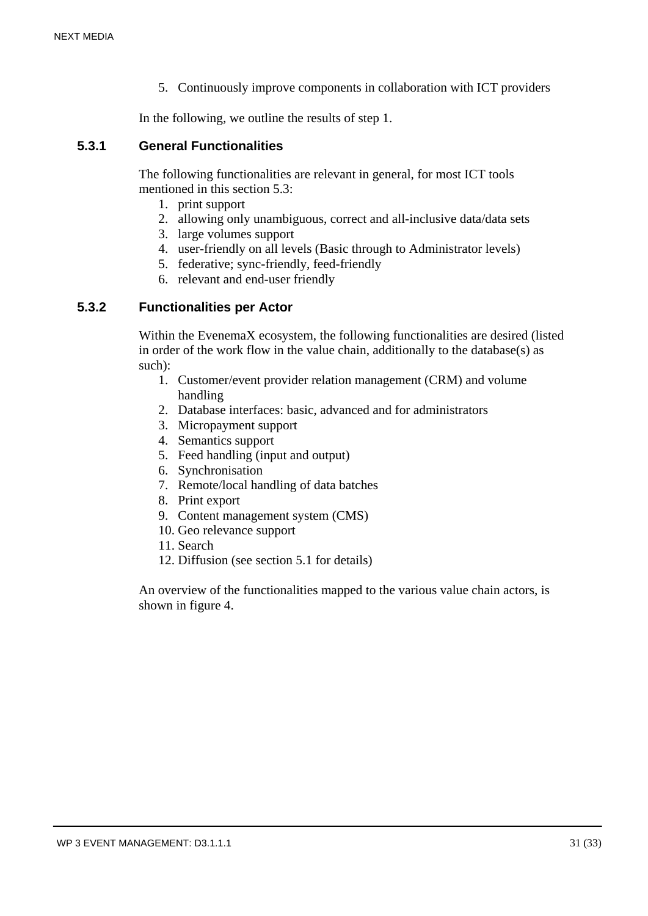5. Continuously improve components in collaboration with ICT providers

In the following, we outline the results of step 1.

#### **5.3.1 General Functionalities**

The following functionalities are relevant in general, for most ICT tools mentioned in this section 5.3:

- 1. print support
- 2. allowing only unambiguous, correct and all-inclusive data/data sets
- 3. large volumes support
- 4. user-friendly on all levels (Basic through to Administrator levels)
- 5. federative; sync-friendly, feed-friendly
- 6. relevant and end-user friendly

#### **5.3.2 Functionalities per Actor**

Within the EvenemaX ecosystem, the following functionalities are desired (listed in order of the work flow in the value chain, additionally to the database(s) as such):

- 1. Customer/event provider relation management (CRM) and volume handling
- 2. Database interfaces: basic, advanced and for administrators
- 3. Micropayment support
- 4. Semantics support
- 5. Feed handling (input and output)
- 6. Synchronisation
- 7. Remote/local handling of data batches
- 8. Print export
- 9. Content management system (CMS)
- 10. Geo relevance support
- 11. Search
- 12. Diffusion (see section 5.1 for details)

An overview of the functionalities mapped to the various value chain actors, is shown in figure 4.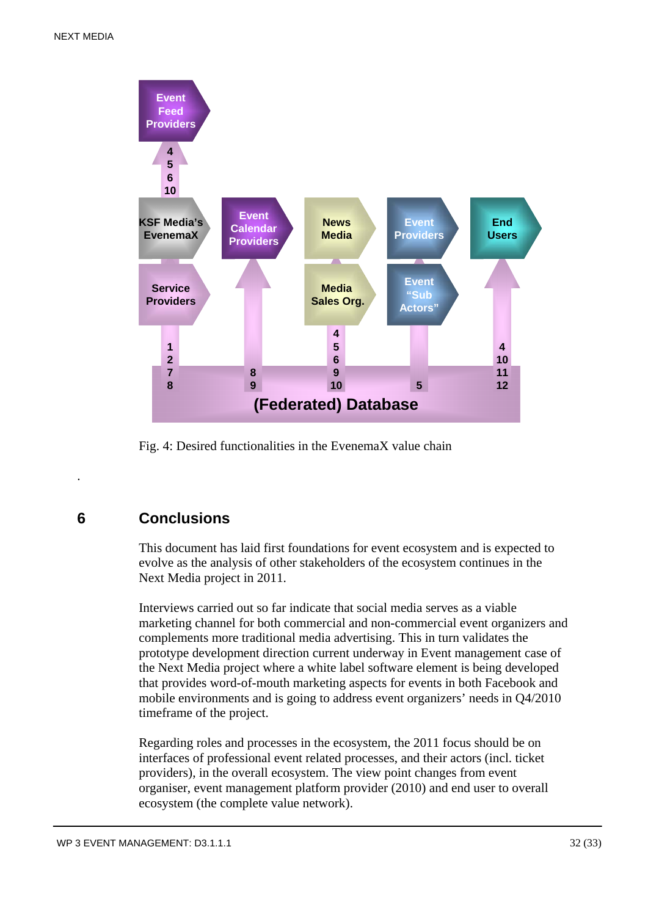

Fig. 4: Desired functionalities in the EvenemaX value chain

# **6 Conclusions**

.

This document has laid first foundations for event ecosystem and is expected to evolve as the analysis of other stakeholders of the ecosystem continues in the Next Media project in 2011.

Interviews carried out so far indicate that social media serves as a viable marketing channel for both commercial and non-commercial event organizers and complements more traditional media advertising. This in turn validates the prototype development direction current underway in Event management case of the Next Media project where a white label software element is being developed that provides word-of-mouth marketing aspects for events in both Facebook and mobile environments and is going to address event organizers' needs in Q4/2010 timeframe of the project.

Regarding roles and processes in the ecosystem, the 2011 focus should be on interfaces of professional event related processes, and their actors (incl. ticket providers), in the overall ecosystem. The view point changes from event organiser, event management platform provider (2010) and end user to overall ecosystem (the complete value network).